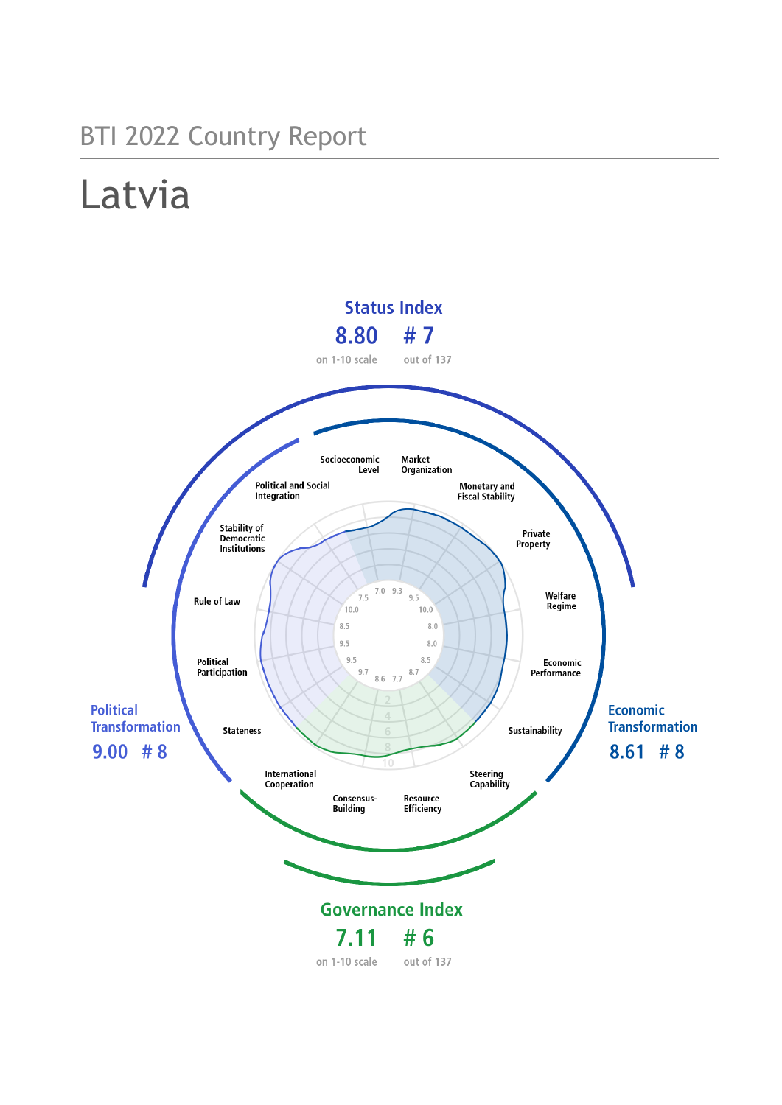## BTI 2022 Country Report

# Latvia

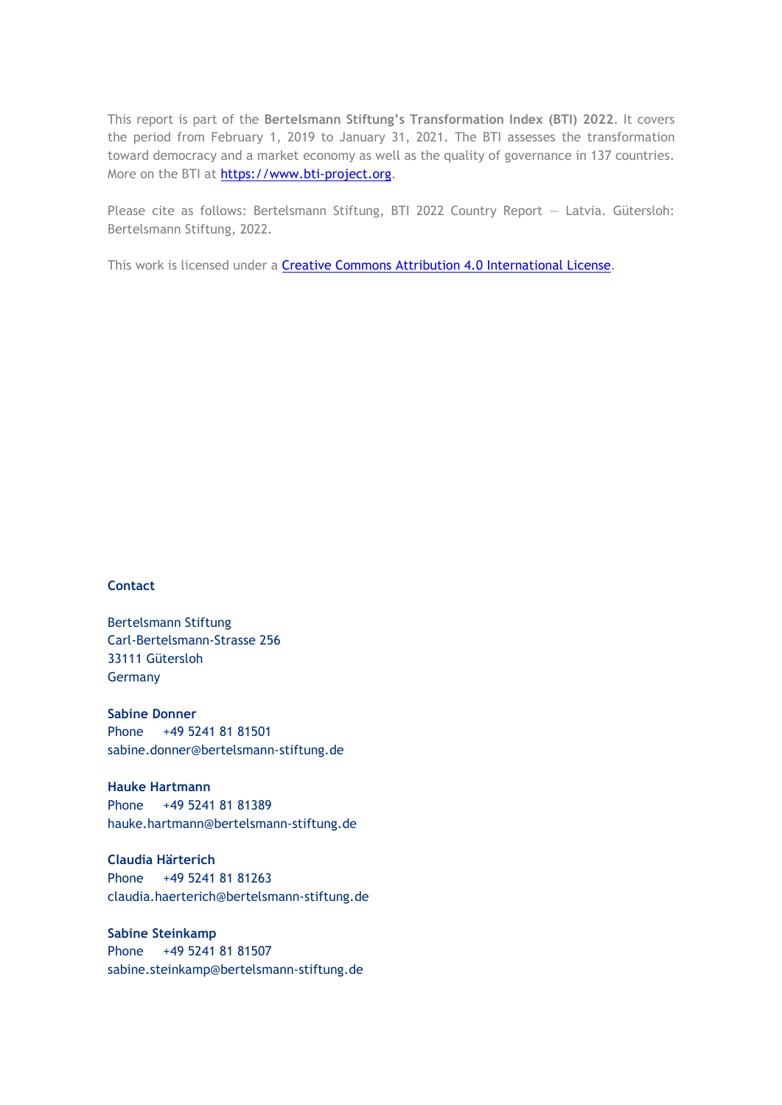This report is part of the **Bertelsmann Stiftung's Transformation Index (BTI) 2022**. It covers the period from February 1, 2019 to January 31, 2021. The BTI assesses the transformation toward democracy and a market economy as well as the quality of governance in 137 countries. More on the BTI at [https://www.bti-project.org.](https://www.bti-project.org/)

Please cite as follows: Bertelsmann Stiftung, BTI 2022 Country Report — Latvia. Gütersloh: Bertelsmann Stiftung, 2022.

This work is licensed under a **Creative Commons Attribution 4.0 International License**.

#### **Contact**

Bertelsmann Stiftung Carl-Bertelsmann-Strasse 256 33111 Gütersloh Germany

**Sabine Donner** Phone +49 5241 81 81501 sabine.donner@bertelsmann-stiftung.de

**Hauke Hartmann** Phone +49 5241 81 81389 hauke.hartmann@bertelsmann-stiftung.de

**Claudia Härterich** Phone +49 5241 81 81263 claudia.haerterich@bertelsmann-stiftung.de

#### **Sabine Steinkamp** Phone +49 5241 81 81507 sabine.steinkamp@bertelsmann-stiftung.de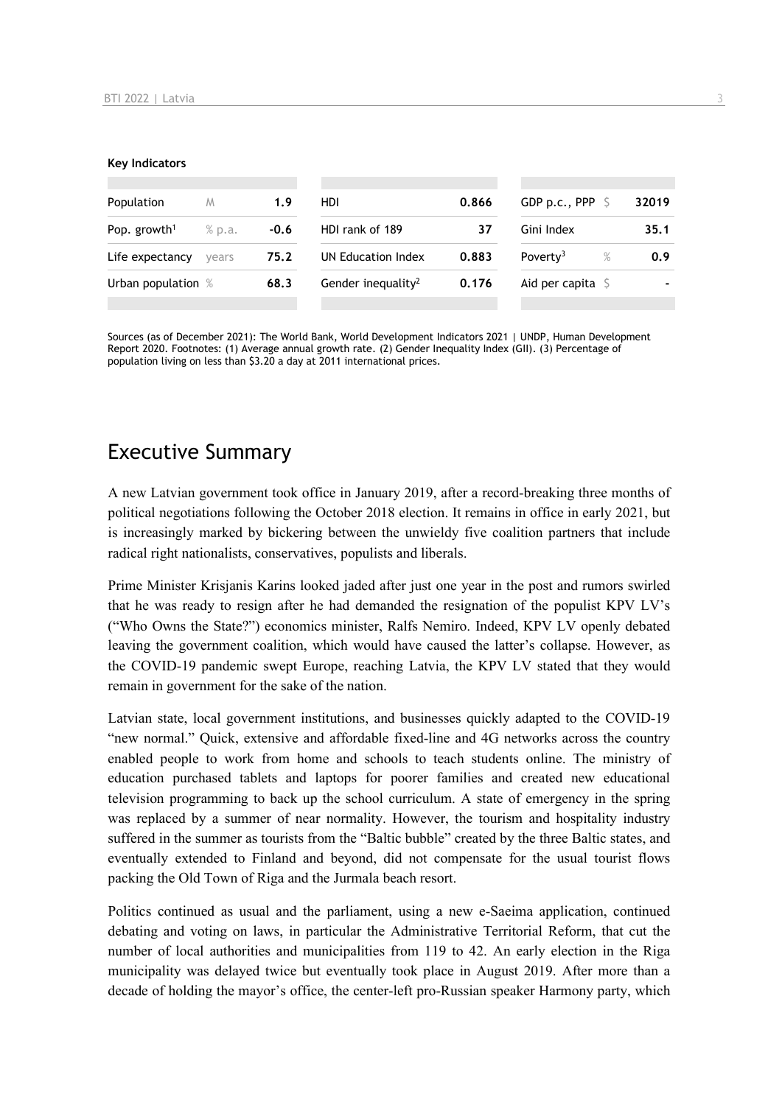#### **Key Indicators**

| Population                         | M     | 1.9    | <b>HDI</b>                     | 0.866 | GDP p.c., PPP 9              | 32019 |
|------------------------------------|-------|--------|--------------------------------|-------|------------------------------|-------|
| Pop. growth <sup>1</sup><br>% p.a. |       | $-0.6$ | HDI rank of 189                | 37    | Gini Index                   | 35.1  |
| Life expectancy                    | vears | 75.2   | UN Education Index             | 0.883 | $\%$<br>Poverty <sup>3</sup> | 0.9   |
| Urban population %                 |       | 68.3   | Gender inequality <sup>2</sup> | 0.176 | Aid per capita $\sqrt{5}$    |       |
|                                    |       |        |                                |       |                              |       |

Sources (as of December 2021): The World Bank, World Development Indicators 2021 | UNDP, Human Development Report 2020. Footnotes: (1) Average annual growth rate. (2) Gender Inequality Index (GII). (3) Percentage of population living on less than \$3.20 a day at 2011 international prices.

## Executive Summary

A new Latvian government took office in January 2019, after a record-breaking three months of political negotiations following the October 2018 election. It remains in office in early 2021, but is increasingly marked by bickering between the unwieldy five coalition partners that include radical right nationalists, conservatives, populists and liberals.

Prime Minister Krisjanis Karins looked jaded after just one year in the post and rumors swirled that he was ready to resign after he had demanded the resignation of the populist KPV LV's ("Who Owns the State?") economics minister, Ralfs Nemiro. Indeed, KPV LV openly debated leaving the government coalition, which would have caused the latter's collapse. However, as the COVID-19 pandemic swept Europe, reaching Latvia, the KPV LV stated that they would remain in government for the sake of the nation.

Latvian state, local government institutions, and businesses quickly adapted to the COVID-19 "new normal." Quick, extensive and affordable fixed-line and 4G networks across the country enabled people to work from home and schools to teach students online. The ministry of education purchased tablets and laptops for poorer families and created new educational television programming to back up the school curriculum. A state of emergency in the spring was replaced by a summer of near normality. However, the tourism and hospitality industry suffered in the summer as tourists from the "Baltic bubble" created by the three Baltic states, and eventually extended to Finland and beyond, did not compensate for the usual tourist flows packing the Old Town of Riga and the Jurmala beach resort.

Politics continued as usual and the parliament, using a new e-Saeima application, continued debating and voting on laws, in particular the Administrative Territorial Reform, that cut the number of local authorities and municipalities from 119 to 42. An early election in the Riga municipality was delayed twice but eventually took place in August 2019. After more than a decade of holding the mayor's office, the center-left pro-Russian speaker Harmony party, which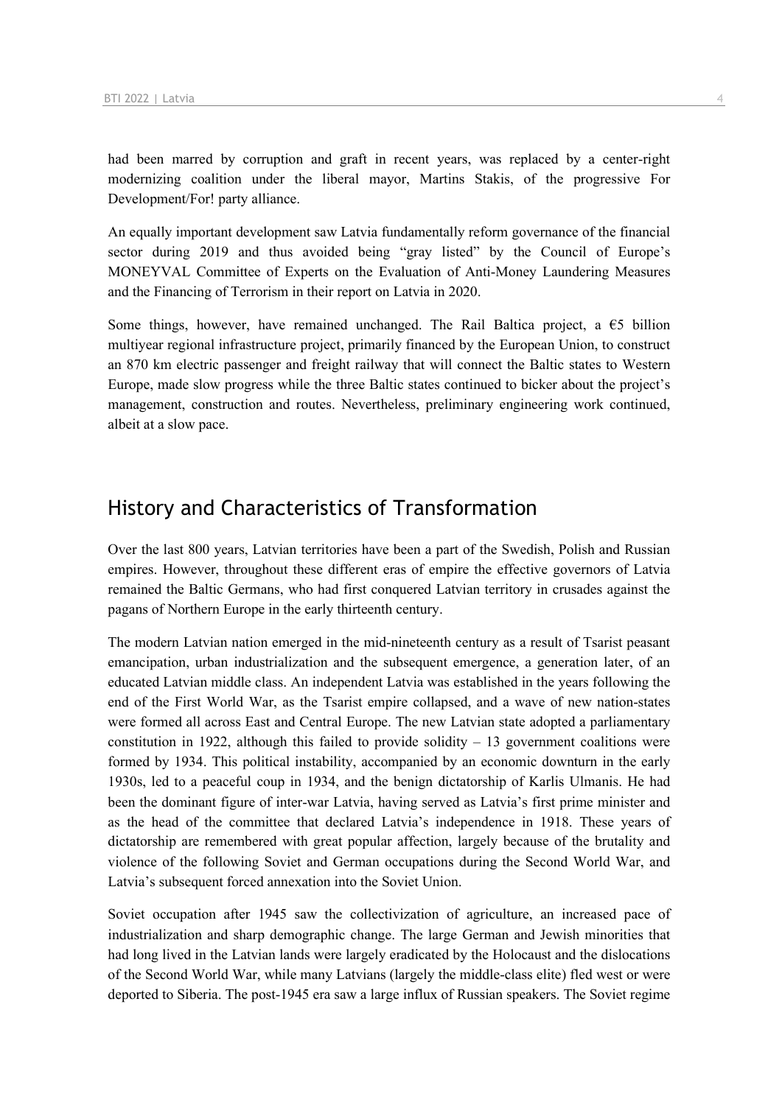had been marred by corruption and graft in recent years, was replaced by a center-right modernizing coalition under the liberal mayor, Martins Stakis, of the progressive For Development/For! party alliance.

An equally important development saw Latvia fundamentally reform governance of the financial sector during 2019 and thus avoided being "gray listed" by the Council of Europe's MONEYVAL Committee of Experts on the Evaluation of Anti-Money Laundering Measures and the Financing of Terrorism in their report on Latvia in 2020.

Some things, however, have remained unchanged. The Rail Baltica project, a  $\epsilon$ 5 billion multiyear regional infrastructure project, primarily financed by the European Union, to construct an 870 km electric passenger and freight railway that will connect the Baltic states to Western Europe, made slow progress while the three Baltic states continued to bicker about the project's management, construction and routes. Nevertheless, preliminary engineering work continued, albeit at a slow pace.

## History and Characteristics of Transformation

Over the last 800 years, Latvian territories have been a part of the Swedish, Polish and Russian empires. However, throughout these different eras of empire the effective governors of Latvia remained the Baltic Germans, who had first conquered Latvian territory in crusades against the pagans of Northern Europe in the early thirteenth century.

The modern Latvian nation emerged in the mid-nineteenth century as a result of Tsarist peasant emancipation, urban industrialization and the subsequent emergence, a generation later, of an educated Latvian middle class. An independent Latvia was established in the years following the end of the First World War, as the Tsarist empire collapsed, and a wave of new nation-states were formed all across East and Central Europe. The new Latvian state adopted a parliamentary constitution in 1922, although this failed to provide solidity  $-13$  government coalitions were formed by 1934. This political instability, accompanied by an economic downturn in the early 1930s, led to a peaceful coup in 1934, and the benign dictatorship of Karlis Ulmanis. He had been the dominant figure of inter-war Latvia, having served as Latvia's first prime minister and as the head of the committee that declared Latvia's independence in 1918. These years of dictatorship are remembered with great popular affection, largely because of the brutality and violence of the following Soviet and German occupations during the Second World War, and Latvia's subsequent forced annexation into the Soviet Union.

Soviet occupation after 1945 saw the collectivization of agriculture, an increased pace of industrialization and sharp demographic change. The large German and Jewish minorities that had long lived in the Latvian lands were largely eradicated by the Holocaust and the dislocations of the Second World War, while many Latvians (largely the middle-class elite) fled west or were deported to Siberia. The post-1945 era saw a large influx of Russian speakers. The Soviet regime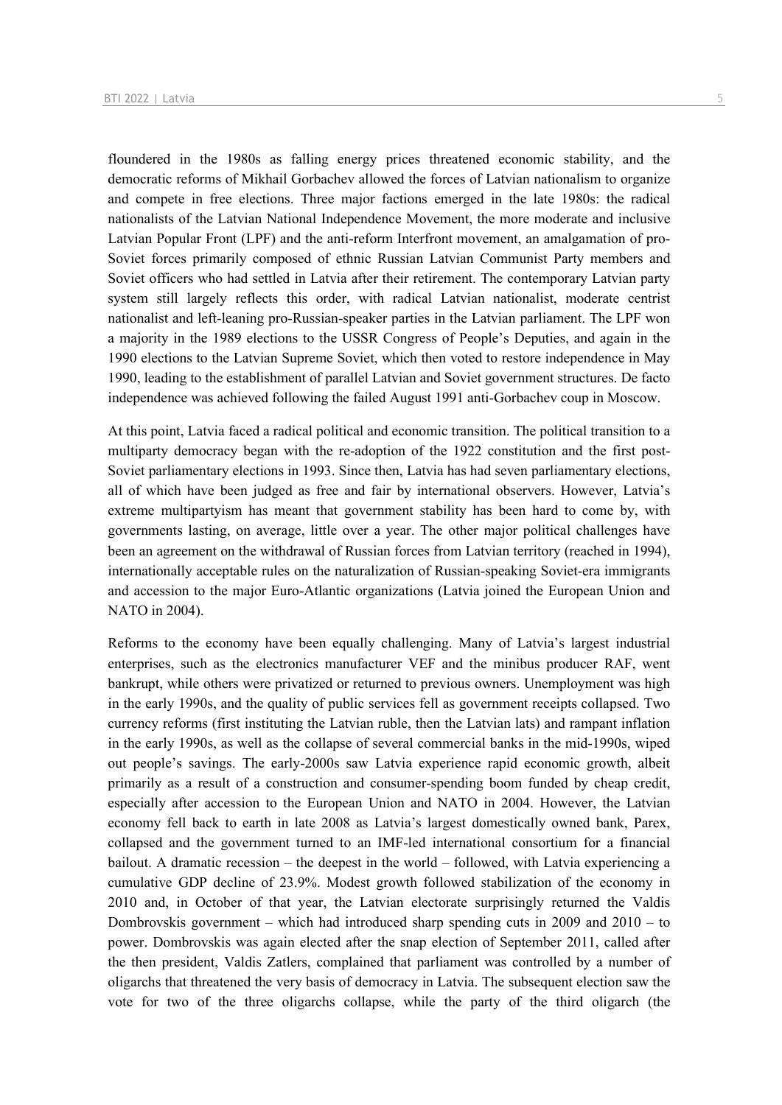floundered in the 1980s as falling energy prices threatened economic stability, and the democratic reforms of Mikhail Gorbachev allowed the forces of Latvian nationalism to organize and compete in free elections. Three major factions emerged in the late 1980s: the radical nationalists of the Latvian National Independence Movement, the more moderate and inclusive Latvian Popular Front (LPF) and the anti-reform Interfront movement, an amalgamation of pro-Soviet forces primarily composed of ethnic Russian Latvian Communist Party members and Soviet officers who had settled in Latvia after their retirement. The contemporary Latvian party system still largely reflects this order, with radical Latvian nationalist, moderate centrist nationalist and left-leaning pro-Russian-speaker parties in the Latvian parliament. The LPF won a majority in the 1989 elections to the USSR Congress of People's Deputies, and again in the 1990 elections to the Latvian Supreme Soviet, which then voted to restore independence in May 1990, leading to the establishment of parallel Latvian and Soviet government structures. De facto independence was achieved following the failed August 1991 anti-Gorbachev coup in Moscow.

At this point, Latvia faced a radical political and economic transition. The political transition to a multiparty democracy began with the re-adoption of the 1922 constitution and the first post-Soviet parliamentary elections in 1993. Since then, Latvia has had seven parliamentary elections, all of which have been judged as free and fair by international observers. However, Latvia's extreme multipartyism has meant that government stability has been hard to come by, with governments lasting, on average, little over a year. The other major political challenges have been an agreement on the withdrawal of Russian forces from Latvian territory (reached in 1994), internationally acceptable rules on the naturalization of Russian-speaking Soviet-era immigrants and accession to the major Euro-Atlantic organizations (Latvia joined the European Union and NATO in 2004).

Reforms to the economy have been equally challenging. Many of Latvia's largest industrial enterprises, such as the electronics manufacturer VEF and the minibus producer RAF, went bankrupt, while others were privatized or returned to previous owners. Unemployment was high in the early 1990s, and the quality of public services fell as government receipts collapsed. Two currency reforms (first instituting the Latvian ruble, then the Latvian lats) and rampant inflation in the early 1990s, as well as the collapse of several commercial banks in the mid-1990s, wiped out people's savings. The early-2000s saw Latvia experience rapid economic growth, albeit primarily as a result of a construction and consumer-spending boom funded by cheap credit, especially after accession to the European Union and NATO in 2004. However, the Latvian economy fell back to earth in late 2008 as Latvia's largest domestically owned bank, Parex, collapsed and the government turned to an IMF-led international consortium for a financial bailout. A dramatic recession – the deepest in the world – followed, with Latvia experiencing a cumulative GDP decline of 23.9%. Modest growth followed stabilization of the economy in 2010 and, in October of that year, the Latvian electorate surprisingly returned the Valdis Dombrovskis government – which had introduced sharp spending cuts in 2009 and 2010 – to power. Dombrovskis was again elected after the snap election of September 2011, called after the then president, Valdis Zatlers, complained that parliament was controlled by a number of oligarchs that threatened the very basis of democracy in Latvia. The subsequent election saw the vote for two of the three oligarchs collapse, while the party of the third oligarch (the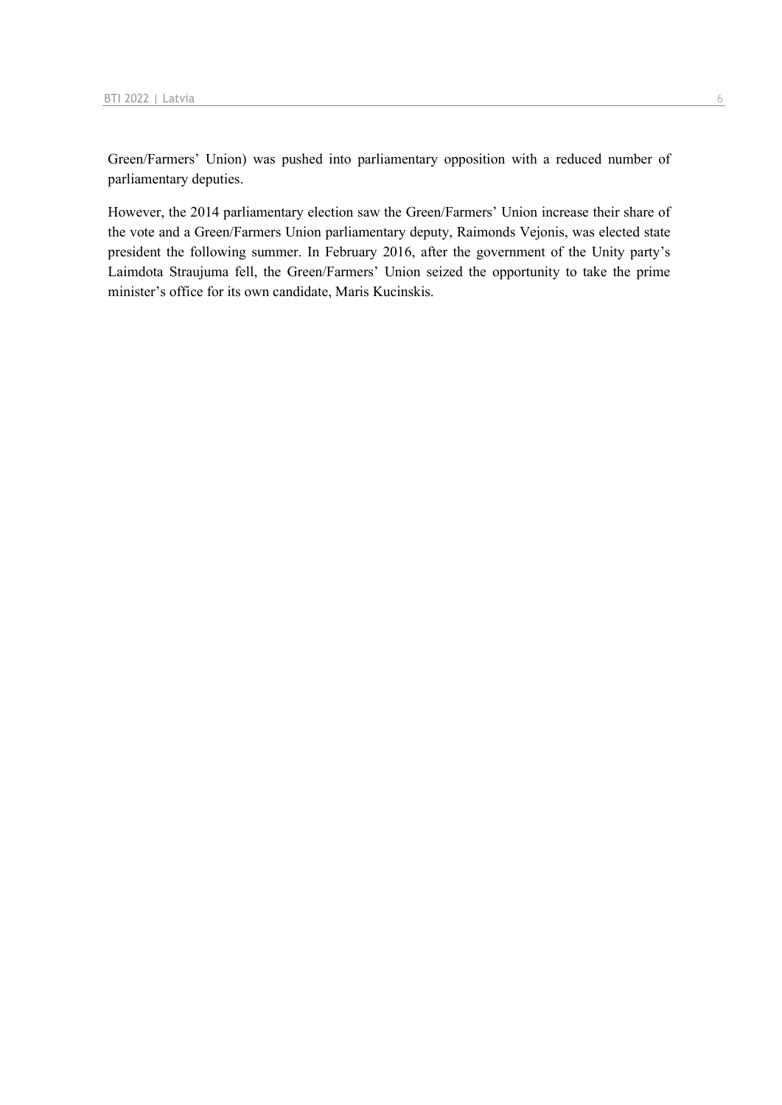Green/Farmers' Union) was pushed into parliamentary opposition with a reduced number of parliamentary deputies.

However, the 2014 parliamentary election saw the Green/Farmers' Union increase their share of the vote and a Green/Farmers Union parliamentary deputy, Raimonds Vejonis, was elected state president the following summer. In February 2016, after the government of the Unity party's Laimdota Straujuma fell, the Green/Farmers' Union seized the opportunity to take the prime minister's office for its own candidate, Maris Kucinskis.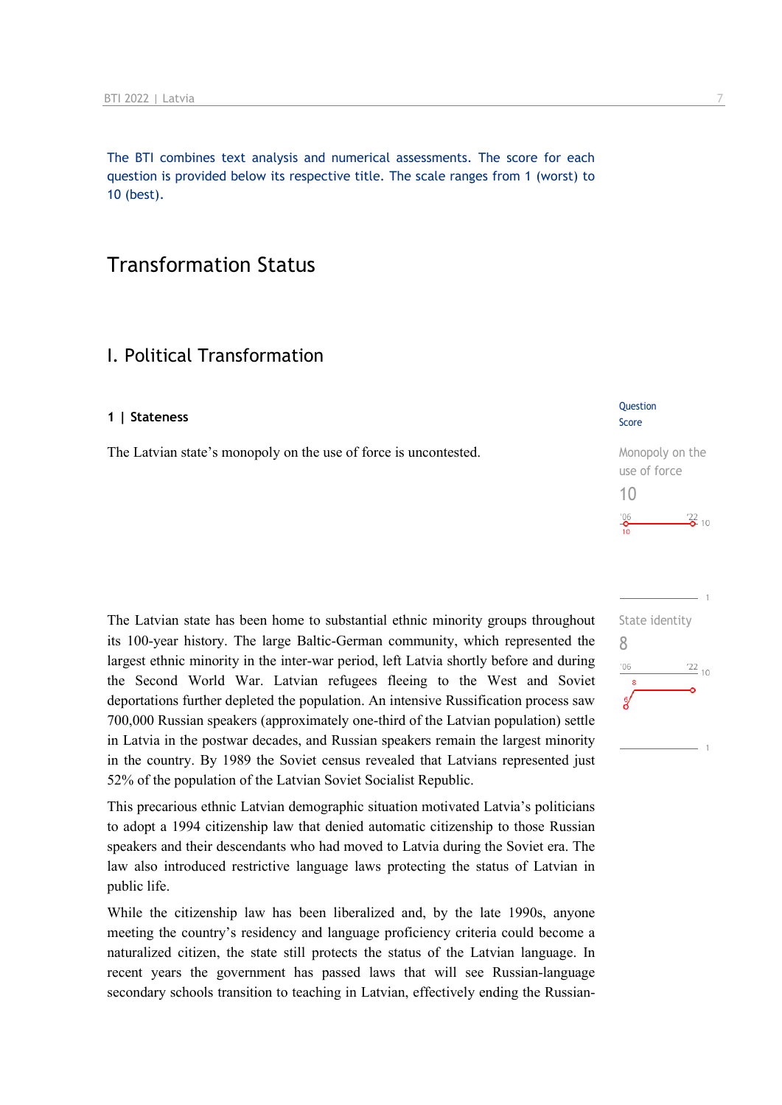The BTI combines text analysis and numerical assessments. The score for each question is provided below its respective title. The scale ranges from 1 (worst) to 10 (best).

## Transformation Status

## I. Political Transformation

#### **1 | Stateness**

The Latvian state's monopoly on the use of force is uncontested.

The Latvian state has been home to substantial ethnic minority groups throughout its 100-year history. The large Baltic-German community, which represented the largest ethnic minority in the inter-war period, left Latvia shortly before and during the Second World War. Latvian refugees fleeing to the West and Soviet deportations further depleted the population. An intensive Russification process saw 700,000 Russian speakers (approximately one-third of the Latvian population) settle in Latvia in the postwar decades, and Russian speakers remain the largest minority in the country. By 1989 the Soviet census revealed that Latvians represented just 52% of the population of the Latvian Soviet Socialist Republic.

This precarious ethnic Latvian demographic situation motivated Latvia's politicians to adopt a 1994 citizenship law that denied automatic citizenship to those Russian speakers and their descendants who had moved to Latvia during the Soviet era. The law also introduced restrictive language laws protecting the status of Latvian in public life.

While the citizenship law has been liberalized and, by the late 1990s, anyone meeting the country's residency and language proficiency criteria could become a naturalized citizen, the state still protects the status of the Latvian language. In recent years the government has passed laws that will see Russian-language secondary schools transition to teaching in Latvian, effectively ending the Russian-

#### **Question** Score

| Monopoly on the                    |
|------------------------------------|
| use of force                       |
| 1()                                |
| $^{\prime}06$<br>$\frac{22}{2}$ 10 |
| 10                                 |

|     | State identity  |  |
|-----|-----------------|--|
| 8   |                 |  |
| '06 | $\frac{22}{10}$ |  |
| 8   |                 |  |
| å   |                 |  |
|     |                 |  |
|     |                 |  |
|     |                 |  |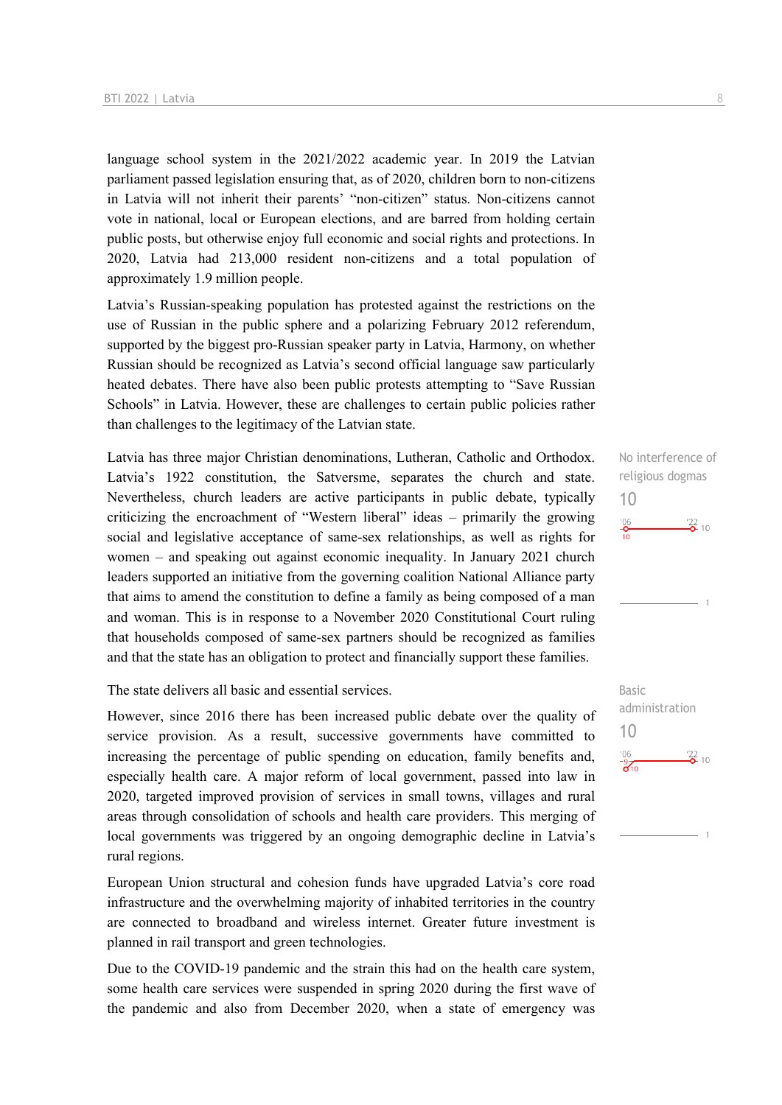language school system in the 2021/2022 academic year. In 2019 the Latvian parliament passed legislation ensuring that, as of 2020, children born to non-citizens in Latvia will not inherit their parents' "non-citizen" status. Non-citizens cannot vote in national, local or European elections, and are barred from holding certain public posts, but otherwise enjoy full economic and social rights and protections. In 2020, Latvia had 213,000 resident non-citizens and a total population of approximately 1.9 million people.

Latvia's Russian-speaking population has protested against the restrictions on the use of Russian in the public sphere and a polarizing February 2012 referendum, supported by the biggest pro-Russian speaker party in Latvia, Harmony, on whether Russian should be recognized as Latvia's second official language saw particularly heated debates. There have also been public protests attempting to "Save Russian Schools" in Latvia. However, these are challenges to certain public policies rather than challenges to the legitimacy of the Latvian state.

Latvia has three major Christian denominations, Lutheran, Catholic and Orthodox. Latvia's 1922 constitution, the Satversme, separates the church and state. Nevertheless, church leaders are active participants in public debate, typically criticizing the encroachment of "Western liberal" ideas – primarily the growing social and legislative acceptance of same-sex relationships, as well as rights for women – and speaking out against economic inequality. In January 2021 church leaders supported an initiative from the governing coalition National Alliance party that aims to amend the constitution to define a family as being composed of a man and woman. This is in response to a November 2020 Constitutional Court ruling that households composed of same-sex partners should be recognized as families and that the state has an obligation to protect and financially support these families.

The state delivers all basic and essential services.

However, since 2016 there has been increased public debate over the quality of service provision. As a result, successive governments have committed to increasing the percentage of public spending on education, family benefits and, especially health care. A major reform of local government, passed into law in 2020, targeted improved provision of services in small towns, villages and rural areas through consolidation of schools and health care providers. This merging of local governments was triggered by an ongoing demographic decline in Latvia's rural regions.

European Union structural and cohesion funds have upgraded Latvia's core road infrastructure and the overwhelming majority of inhabited territories in the country are connected to broadband and wireless internet. Greater future investment is planned in rail transport and green technologies.

Due to the COVID-19 pandemic and the strain this had on the health care system, some health care services were suspended in spring 2020 during the first wave of the pandemic and also from December 2020, when a state of emergency was

No interference of religious dogmas 10  $\frac{106}{10}$  $\frac{22}{2}$  10

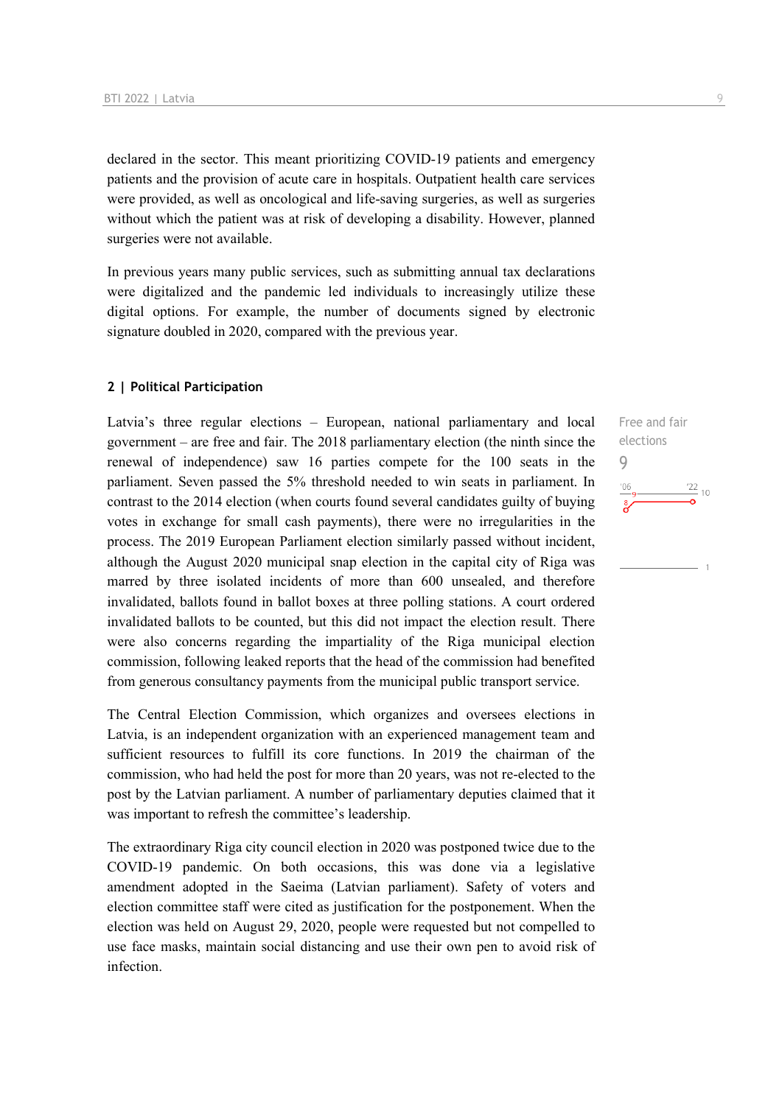declared in the sector. This meant prioritizing COVID-19 patients and emergency patients and the provision of acute care in hospitals. Outpatient health care services were provided, as well as oncological and life-saving surgeries, as well as surgeries without which the patient was at risk of developing a disability. However, planned surgeries were not available.

In previous years many public services, such as submitting annual tax declarations were digitalized and the pandemic led individuals to increasingly utilize these digital options. For example, the number of documents signed by electronic signature doubled in 2020, compared with the previous year.

#### **2 | Political Participation**

Latvia's three regular elections – European, national parliamentary and local government – are free and fair. The 2018 parliamentary election (the ninth since the renewal of independence) saw 16 parties compete for the 100 seats in the parliament. Seven passed the 5% threshold needed to win seats in parliament. In contrast to the 2014 election (when courts found several candidates guilty of buying votes in exchange for small cash payments), there were no irregularities in the process. The 2019 European Parliament election similarly passed without incident, although the August 2020 municipal snap election in the capital city of Riga was marred by three isolated incidents of more than 600 unsealed, and therefore invalidated, ballots found in ballot boxes at three polling stations. A court ordered invalidated ballots to be counted, but this did not impact the election result. There were also concerns regarding the impartiality of the Riga municipal election commission, following leaked reports that the head of the commission had benefited from generous consultancy payments from the municipal public transport service.

The Central Election Commission, which organizes and oversees elections in Latvia, is an independent organization with an experienced management team and sufficient resources to fulfill its core functions. In 2019 the chairman of the commission, who had held the post for more than 20 years, was not re-elected to the post by the Latvian parliament. A number of parliamentary deputies claimed that it was important to refresh the committee's leadership.

The extraordinary Riga city council election in 2020 was postponed twice due to the COVID-19 pandemic. On both occasions, this was done via a legislative amendment adopted in the Saeima (Latvian parliament). Safety of voters and election committee staff were cited as justification for the postponement. When the election was held on August 29, 2020, people were requested but not compelled to use face masks, maintain social distancing and use their own pen to avoid risk of infection.

Free and fair elections 9 $\frac{22}{10}$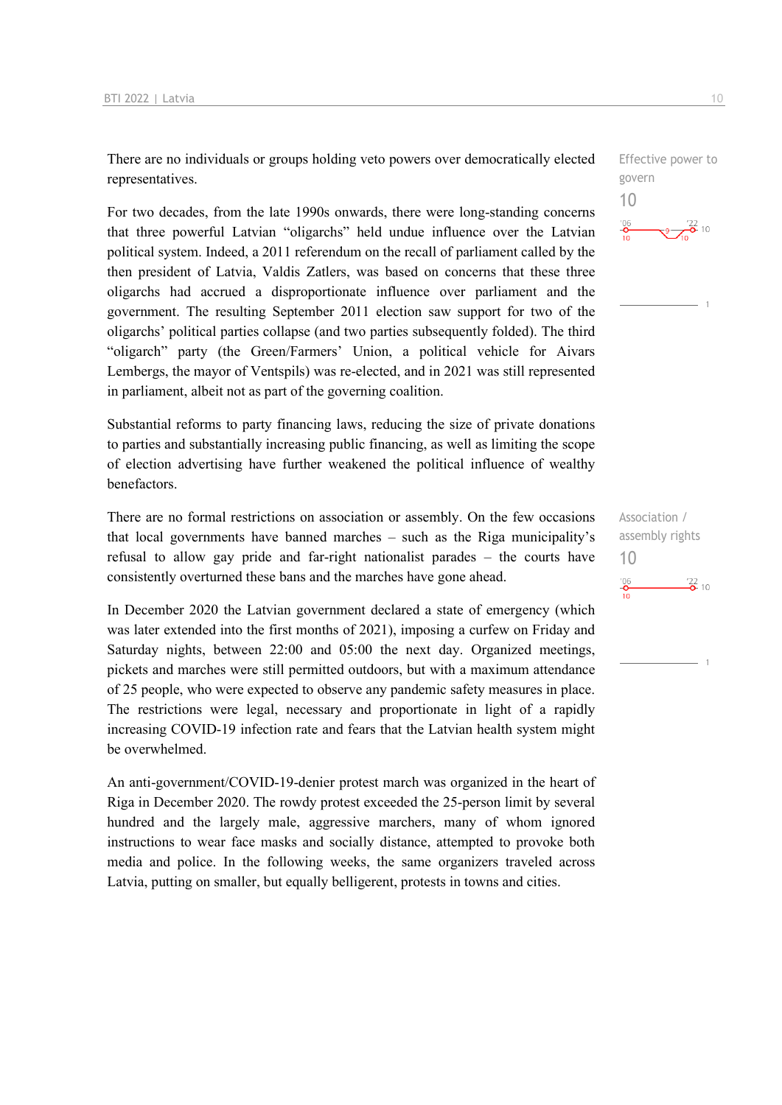There are no individuals or groups holding veto powers over democratically elected representatives.

For two decades, from the late 1990s onwards, there were long-standing concerns that three powerful Latvian "oligarchs" held undue influence over the Latvian political system. Indeed, a 2011 referendum on the recall of parliament called by the then president of Latvia, Valdis Zatlers, was based on concerns that these three oligarchs had accrued a disproportionate influence over parliament and the government. The resulting September 2011 election saw support for two of the oligarchs' political parties collapse (and two parties subsequently folded). The third "oligarch" party (the Green/Farmers' Union, a political vehicle for Aivars Lembergs, the mayor of Ventspils) was re-elected, and in 2021 was still represented in parliament, albeit not as part of the governing coalition.

Substantial reforms to party financing laws, reducing the size of private donations to parties and substantially increasing public financing, as well as limiting the scope of election advertising have further weakened the political influence of wealthy benefactors.

There are no formal restrictions on association or assembly. On the few occasions that local governments have banned marches – such as the Riga municipality's refusal to allow gay pride and far-right nationalist parades – the courts have consistently overturned these bans and the marches have gone ahead.

In December 2020 the Latvian government declared a state of emergency (which was later extended into the first months of 2021), imposing a curfew on Friday and Saturday nights, between 22:00 and 05:00 the next day. Organized meetings, pickets and marches were still permitted outdoors, but with a maximum attendance of 25 people, who were expected to observe any pandemic safety measures in place. The restrictions were legal, necessary and proportionate in light of a rapidly increasing COVID-19 infection rate and fears that the Latvian health system might be overwhelmed.

An anti-government/COVID-19-denier protest march was organized in the heart of Riga in December 2020. The rowdy protest exceeded the 25-person limit by several hundred and the largely male, aggressive marchers, many of whom ignored instructions to wear face masks and socially distance, attempted to provoke both media and police. In the following weeks, the same organizers traveled across Latvia, putting on smaller, but equally belligerent, protests in towns and cities.

Effective power to govern 10  $^{106}$  $\frac{122}{2}$  10

Association / assembly rights 10 $\frac{106}{10}$  $\frac{22}{2}$  10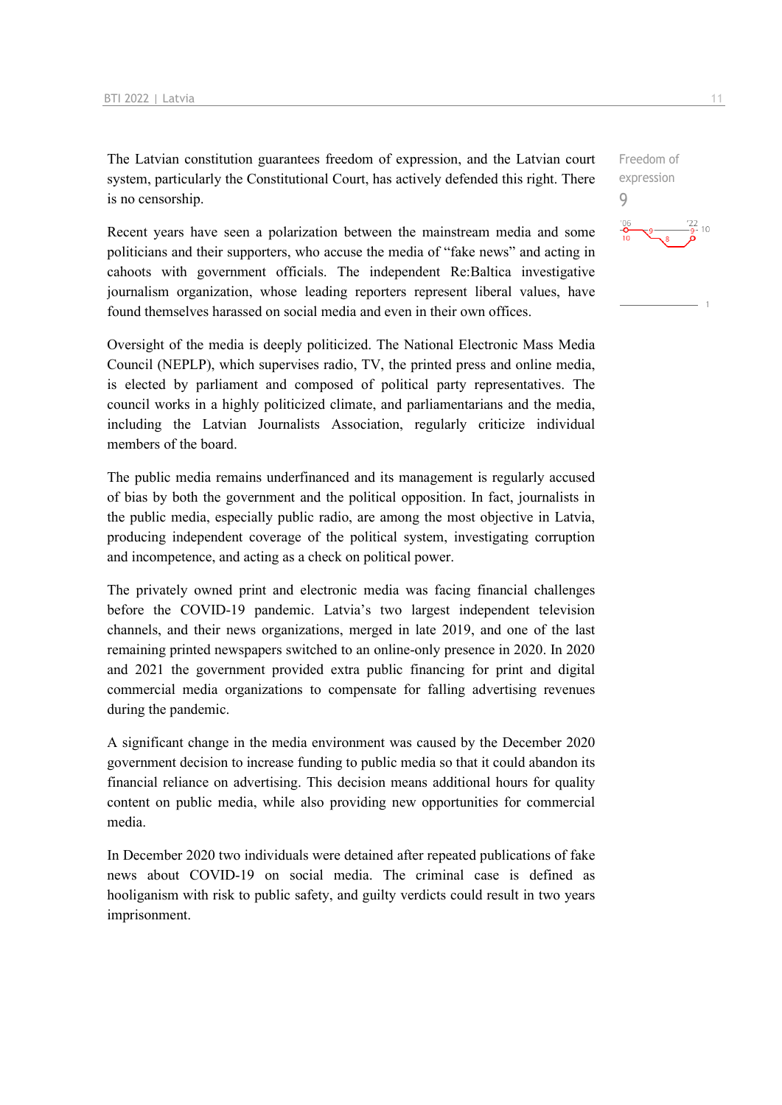The Latvian constitution guarantees freedom of expression, and the Latvian court system, particularly the Constitutional Court, has actively defended this right. There is no censorship.

Recent years have seen a polarization between the mainstream media and some politicians and their supporters, who accuse the media of "fake news" and acting in cahoots with government officials. The independent Re:Baltica investigative journalism organization, whose leading reporters represent liberal values, have found themselves harassed on social media and even in their own offices.

Oversight of the media is deeply politicized. The National Electronic Mass Media Council (NEPLP), which supervises radio, TV, the printed press and online media, is elected by parliament and composed of political party representatives. The council works in a highly politicized climate, and parliamentarians and the media, including the Latvian Journalists Association, regularly criticize individual members of the board.

The public media remains underfinanced and its management is regularly accused of bias by both the government and the political opposition. In fact, journalists in the public media, especially public radio, are among the most objective in Latvia, producing independent coverage of the political system, investigating corruption and incompetence, and acting as a check on political power.

The privately owned print and electronic media was facing financial challenges before the COVID-19 pandemic. Latvia's two largest independent television channels, and their news organizations, merged in late 2019, and one of the last remaining printed newspapers switched to an online-only presence in 2020. In 2020 and 2021 the government provided extra public financing for print and digital commercial media organizations to compensate for falling advertising revenues during the pandemic.

A significant change in the media environment was caused by the December 2020 government decision to increase funding to public media so that it could abandon its financial reliance on advertising. This decision means additional hours for quality content on public media, while also providing new opportunities for commercial media.

In December 2020 two individuals were detained after repeated publications of fake news about COVID-19 on social media. The criminal case is defined as hooliganism with risk to public safety, and guilty verdicts could result in two years imprisonment.

Freedom of expression 9 $10$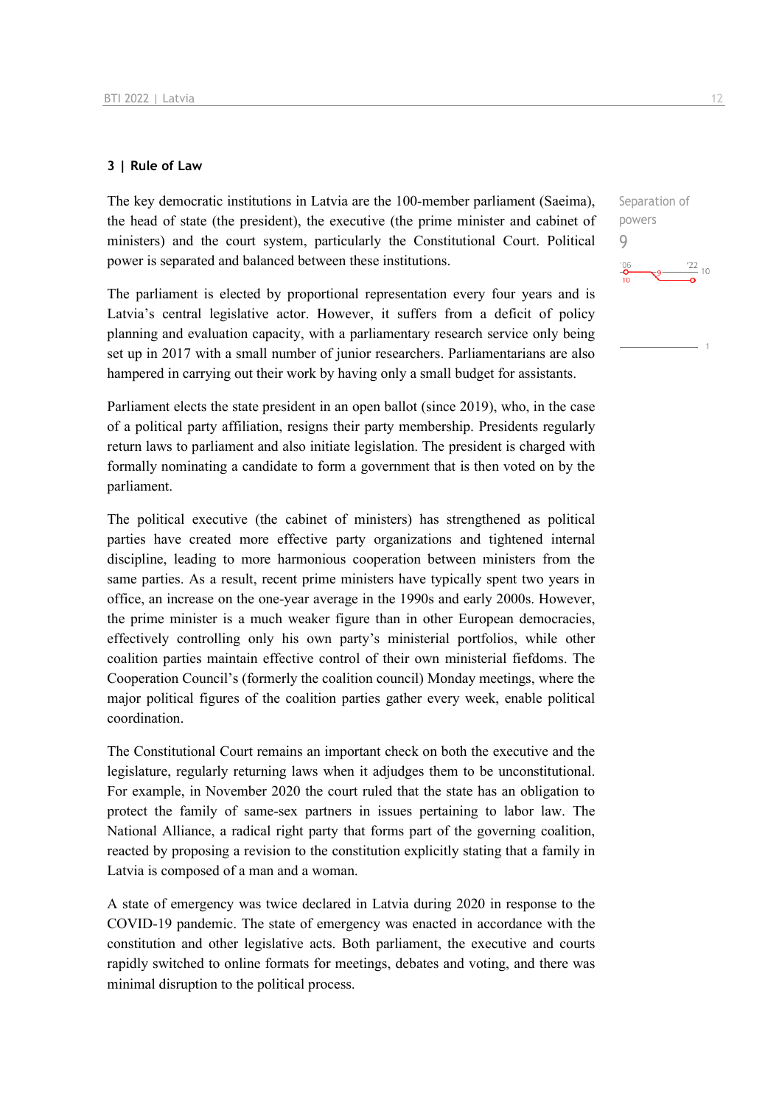#### **3 | Rule of Law**

The key democratic institutions in Latvia are the 100-member parliament (Saeima), the head of state (the president), the executive (the prime minister and cabinet of ministers) and the court system, particularly the Constitutional Court. Political power is separated and balanced between these institutions.

The parliament is elected by proportional representation every four years and is Latvia's central legislative actor. However, it suffers from a deficit of policy planning and evaluation capacity, with a parliamentary research service only being set up in 2017 with a small number of junior researchers. Parliamentarians are also hampered in carrying out their work by having only a small budget for assistants.

Parliament elects the state president in an open ballot (since 2019), who, in the case of a political party affiliation, resigns their party membership. Presidents regularly return laws to parliament and also initiate legislation. The president is charged with formally nominating a candidate to form a government that is then voted on by the parliament.

The political executive (the cabinet of ministers) has strengthened as political parties have created more effective party organizations and tightened internal discipline, leading to more harmonious cooperation between ministers from the same parties. As a result, recent prime ministers have typically spent two years in office, an increase on the one-year average in the 1990s and early 2000s. However, the prime minister is a much weaker figure than in other European democracies, effectively controlling only his own party's ministerial portfolios, while other coalition parties maintain effective control of their own ministerial fiefdoms. The Cooperation Council's (formerly the coalition council) Monday meetings, where the major political figures of the coalition parties gather every week, enable political coordination.

The Constitutional Court remains an important check on both the executive and the legislature, regularly returning laws when it adjudges them to be unconstitutional. For example, in November 2020 the court ruled that the state has an obligation to protect the family of same-sex partners in issues pertaining to labor law. The National Alliance, a radical right party that forms part of the governing coalition, reacted by proposing a revision to the constitution explicitly stating that a family in Latvia is composed of a man and a woman.

A state of emergency was twice declared in Latvia during 2020 in response to the COVID-19 pandemic. The state of emergency was enacted in accordance with the constitution and other legislative acts. Both parliament, the executive and courts rapidly switched to online formats for meetings, debates and voting, and there was minimal disruption to the political process.

Separation of powers 9 $\frac{22}{10}$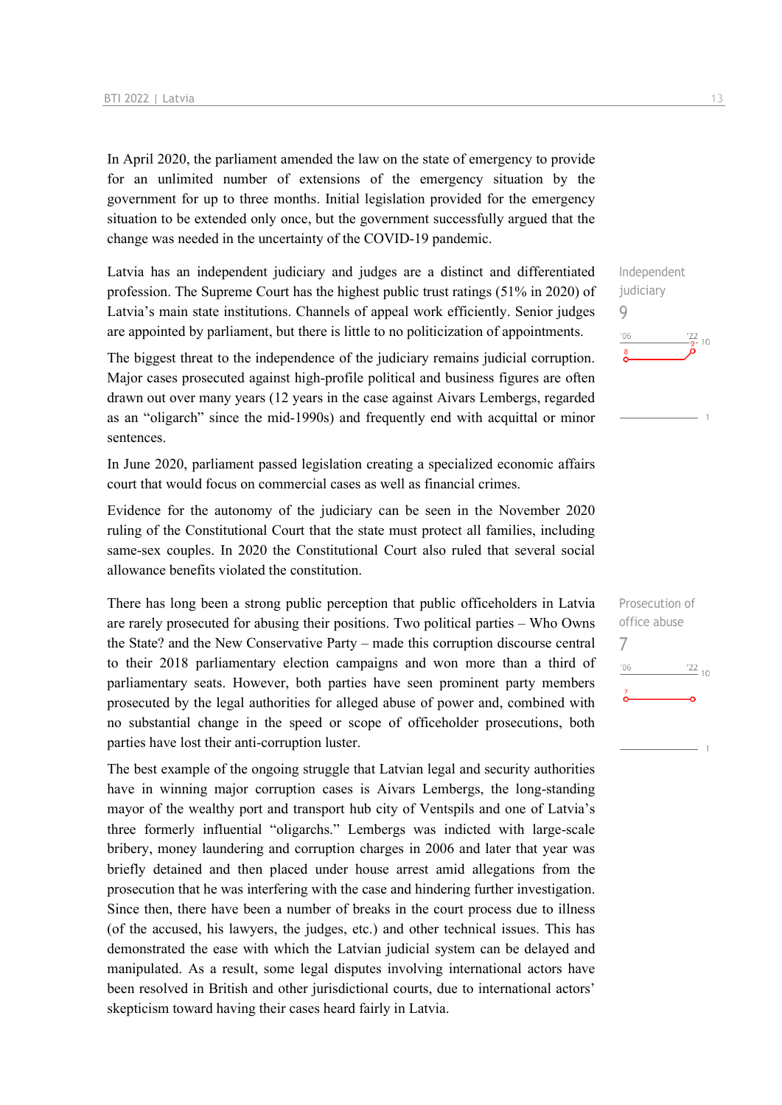In April 2020, the parliament amended the law on the state of emergency to provide for an unlimited number of extensions of the emergency situation by the government for up to three months. Initial legislation provided for the emergency situation to be extended only once, but the government successfully argued that the change was needed in the uncertainty of the COVID-19 pandemic.

Latvia has an independent judiciary and judges are a distinct and differentiated profession. The Supreme Court has the highest public trust ratings (51% in 2020) of Latvia's main state institutions. Channels of appeal work efficiently. Senior judges are appointed by parliament, but there is little to no politicization of appointments.

The biggest threat to the independence of the judiciary remains judicial corruption. Major cases prosecuted against high-profile political and business figures are often drawn out over many years (12 years in the case against Aivars Lembergs, regarded as an "oligarch" since the mid-1990s) and frequently end with acquittal or minor sentences.

In June 2020, parliament passed legislation creating a specialized economic affairs court that would focus on commercial cases as well as financial crimes.

Evidence for the autonomy of the judiciary can be seen in the November 2020 ruling of the Constitutional Court that the state must protect all families, including same-sex couples. In 2020 the Constitutional Court also ruled that several social allowance benefits violated the constitution.

There has long been a strong public perception that public officeholders in Latvia are rarely prosecuted for abusing their positions. Two political parties – Who Owns the State? and the New Conservative Party – made this corruption discourse central to their 2018 parliamentary election campaigns and won more than a third of parliamentary seats. However, both parties have seen prominent party members prosecuted by the legal authorities for alleged abuse of power and, combined with no substantial change in the speed or scope of officeholder prosecutions, both parties have lost their anti-corruption luster.

The best example of the ongoing struggle that Latvian legal and security authorities have in winning major corruption cases is Aivars Lembergs, the long-standing mayor of the wealthy port and transport hub city of Ventspils and one of Latvia's three formerly influential "oligarchs." Lembergs was indicted with large-scale bribery, money laundering and corruption charges in 2006 and later that year was briefly detained and then placed under house arrest amid allegations from the prosecution that he was interfering with the case and hindering further investigation. Since then, there have been a number of breaks in the court process due to illness (of the accused, his lawyers, the judges, etc.) and other technical issues. This has demonstrated the ease with which the Latvian judicial system can be delayed and manipulated. As a result, some legal disputes involving international actors have been resolved in British and other jurisdictional courts, due to international actors' skepticism toward having their cases heard fairly in Latvia.



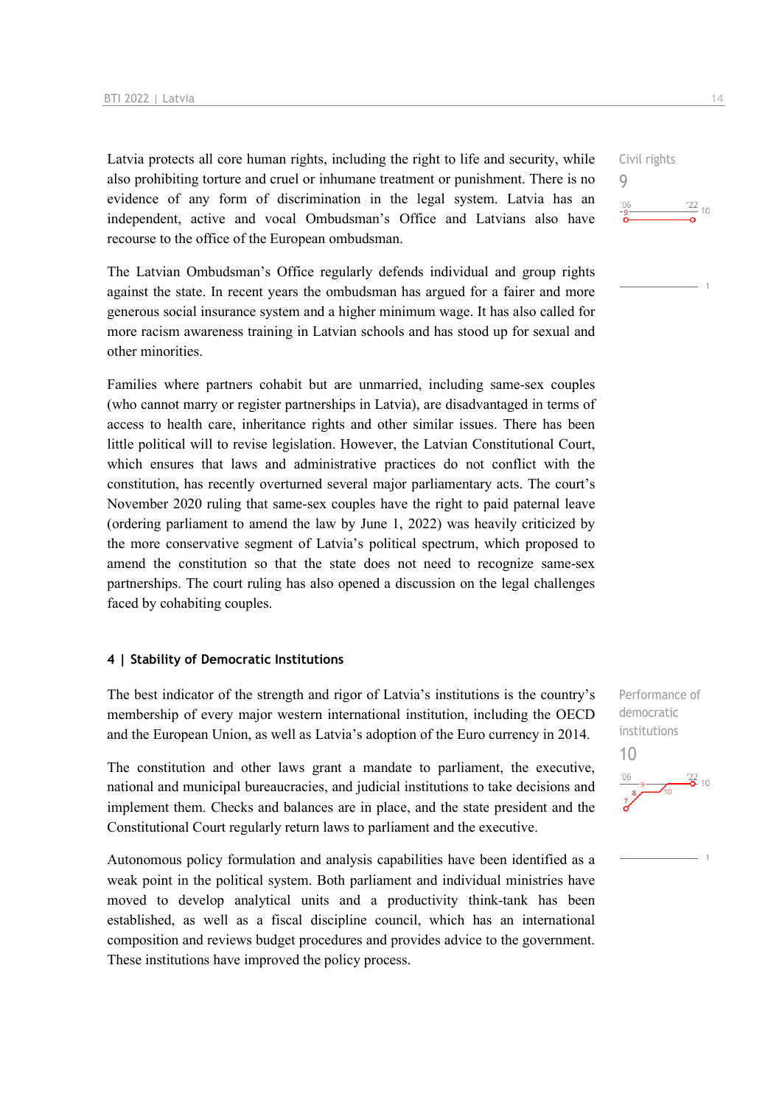Latvia protects all core human rights, including the right to life and security, while also prohibiting torture and cruel or inhumane treatment or punishment. There is no evidence of any form of discrimination in the legal system. Latvia has an independent, active and vocal Ombudsman's Office and Latvians also have recourse to the office of the European ombudsman.

The Latvian Ombudsman's Office regularly defends individual and group rights against the state. In recent years the ombudsman has argued for a fairer and more generous social insurance system and a higher minimum wage. It has also called for more racism awareness training in Latvian schools and has stood up for sexual and other minorities.

Families where partners cohabit but are unmarried, including same-sex couples (who cannot marry or register partnerships in Latvia), are disadvantaged in terms of access to health care, inheritance rights and other similar issues. There has been little political will to revise legislation. However, the Latvian Constitutional Court, which ensures that laws and administrative practices do not conflict with the constitution, has recently overturned several major parliamentary acts. The court's November 2020 ruling that same-sex couples have the right to paid paternal leave (ordering parliament to amend the law by June 1, 2022) was heavily criticized by the more conservative segment of Latvia's political spectrum, which proposed to amend the constitution so that the state does not need to recognize same-sex partnerships. The court ruling has also opened a discussion on the legal challenges faced by cohabiting couples.

#### **4 | Stability of Democratic Institutions**

The best indicator of the strength and rigor of Latvia's institutions is the country's membership of every major western international institution, including the OECD and the European Union, as well as Latvia's adoption of the Euro currency in 2014.

The constitution and other laws grant a mandate to parliament, the executive, national and municipal bureaucracies, and judicial institutions to take decisions and implement them. Checks and balances are in place, and the state president and the Constitutional Court regularly return laws to parliament and the executive.

Autonomous policy formulation and analysis capabilities have been identified as a weak point in the political system. Both parliament and individual ministries have moved to develop analytical units and a productivity think-tank has been established, as well as a fiscal discipline council, which has an international composition and reviews budget procedures and provides advice to the government. These institutions have improved the policy process.

Civil rights 9  $\frac{22}{10}$  $106$ 

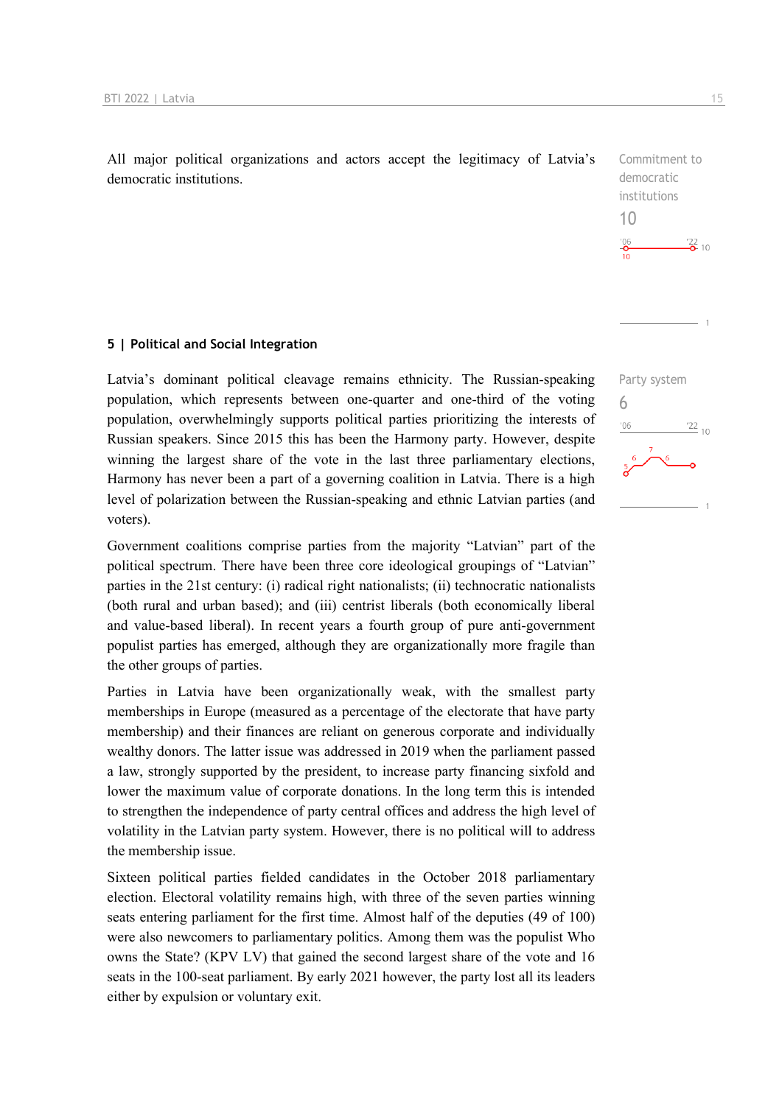All major political organizations and actors accept the legitimacy of Latvia's democratic institutions.

#### **5 | Political and Social Integration**

Latvia's dominant political cleavage remains ethnicity. The Russian-speaking population, which represents between one-quarter and one-third of the voting population, overwhelmingly supports political parties prioritizing the interests of Russian speakers. Since 2015 this has been the Harmony party. However, despite winning the largest share of the vote in the last three parliamentary elections, Harmony has never been a part of a governing coalition in Latvia. There is a high level of polarization between the Russian-speaking and ethnic Latvian parties (and voters).

Government coalitions comprise parties from the majority "Latvian" part of the political spectrum. There have been three core ideological groupings of "Latvian" parties in the 21st century: (i) radical right nationalists; (ii) technocratic nationalists (both rural and urban based); and (iii) centrist liberals (both economically liberal and value-based liberal). In recent years a fourth group of pure anti-government populist parties has emerged, although they are organizationally more fragile than the other groups of parties.

Parties in Latvia have been organizationally weak, with the smallest party memberships in Europe (measured as a percentage of the electorate that have party membership) and their finances are reliant on generous corporate and individually wealthy donors. The latter issue was addressed in 2019 when the parliament passed a law, strongly supported by the president, to increase party financing sixfold and lower the maximum value of corporate donations. In the long term this is intended to strengthen the independence of party central offices and address the high level of volatility in the Latvian party system. However, there is no political will to address the membership issue.

Sixteen political parties fielded candidates in the October 2018 parliamentary election. Electoral volatility remains high, with three of the seven parties winning seats entering parliament for the first time. Almost half of the deputies (49 of 100) were also newcomers to parliamentary politics. Among them was the populist Who owns the State? (KPV LV) that gained the second largest share of the vote and 16 seats in the 100-seat parliament. By early 2021 however, the party lost all its leaders either by expulsion or voluntary exit.

 $\frac{22}{2}$  10

 $^{22}$  10

Commitment to democratic institutions

Party system

6

 $06'$ 

10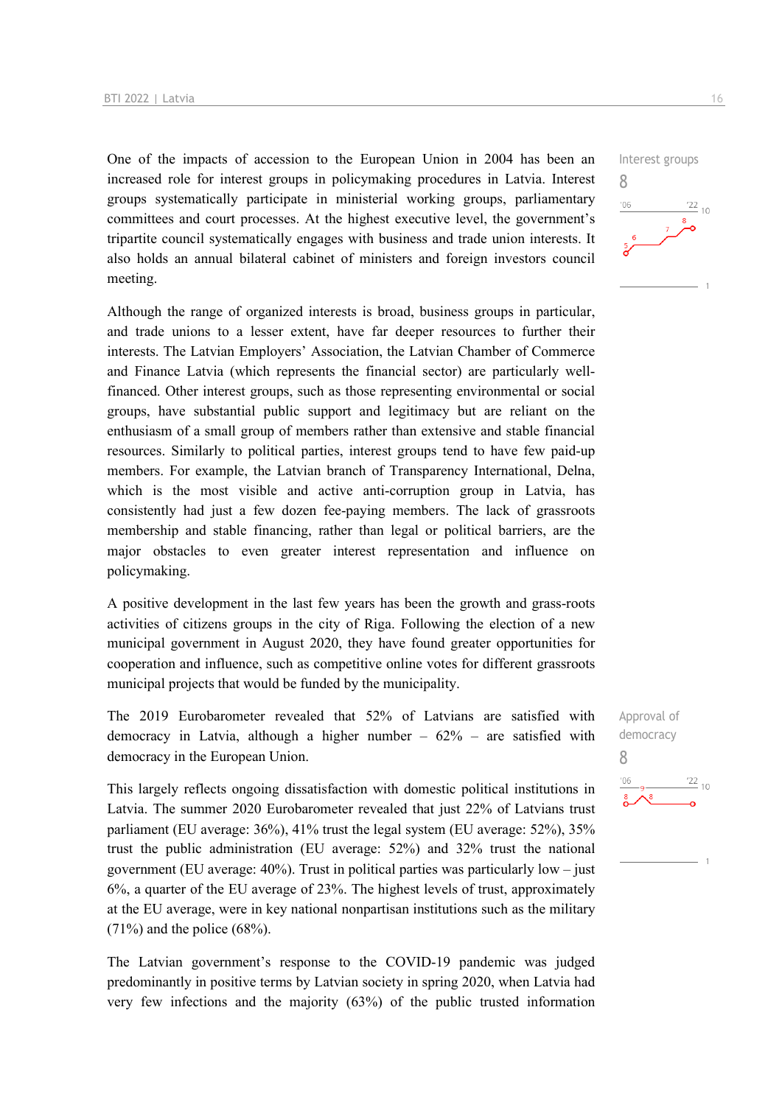One of the impacts of accession to the European Union in 2004 has been an increased role for interest groups in policymaking procedures in Latvia. Interest groups systematically participate in ministerial working groups, parliamentary committees and court processes. At the highest executive level, the government's tripartite council systematically engages with business and trade union interests. It also holds an annual bilateral cabinet of ministers and foreign investors council meeting.

Although the range of organized interests is broad, business groups in particular, and trade unions to a lesser extent, have far deeper resources to further their interests. The Latvian Employers' Association, the Latvian Chamber of Commerce and Finance Latvia (which represents the financial sector) are particularly wellfinanced. Other interest groups, such as those representing environmental or social groups, have substantial public support and legitimacy but are reliant on the enthusiasm of a small group of members rather than extensive and stable financial resources. Similarly to political parties, interest groups tend to have few paid-up members. For example, the Latvian branch of Transparency International, Delna, which is the most visible and active anti-corruption group in Latvia, has consistently had just a few dozen fee-paying members. The lack of grassroots membership and stable financing, rather than legal or political barriers, are the major obstacles to even greater interest representation and influence on policymaking.

A positive development in the last few years has been the growth and grass-roots activities of citizens groups in the city of Riga. Following the election of a new municipal government in August 2020, they have found greater opportunities for cooperation and influence, such as competitive online votes for different grassroots municipal projects that would be funded by the municipality.

The 2019 Eurobarometer revealed that 52% of Latvians are satisfied with democracy in Latvia, although a higher number – 62% – are satisfied with democracy in the European Union.

This largely reflects ongoing dissatisfaction with domestic political institutions in Latvia. The summer 2020 Eurobarometer revealed that just 22% of Latvians trust parliament (EU average: 36%), 41% trust the legal system (EU average: 52%), 35% trust the public administration (EU average: 52%) and 32% trust the national government (EU average:  $40\%$ ). Trust in political parties was particularly low – just 6%, a quarter of the EU average of 23%. The highest levels of trust, approximately at the EU average, were in key national nonpartisan institutions such as the military  $(71\%)$  and the police  $(68\%).$ 

The Latvian government's response to the COVID-19 pandemic was judged predominantly in positive terms by Latvian society in spring 2020, when Latvia had very few infections and the majority (63%) of the public trusted information



Approval of democracy 8 $\frac{22}{10}$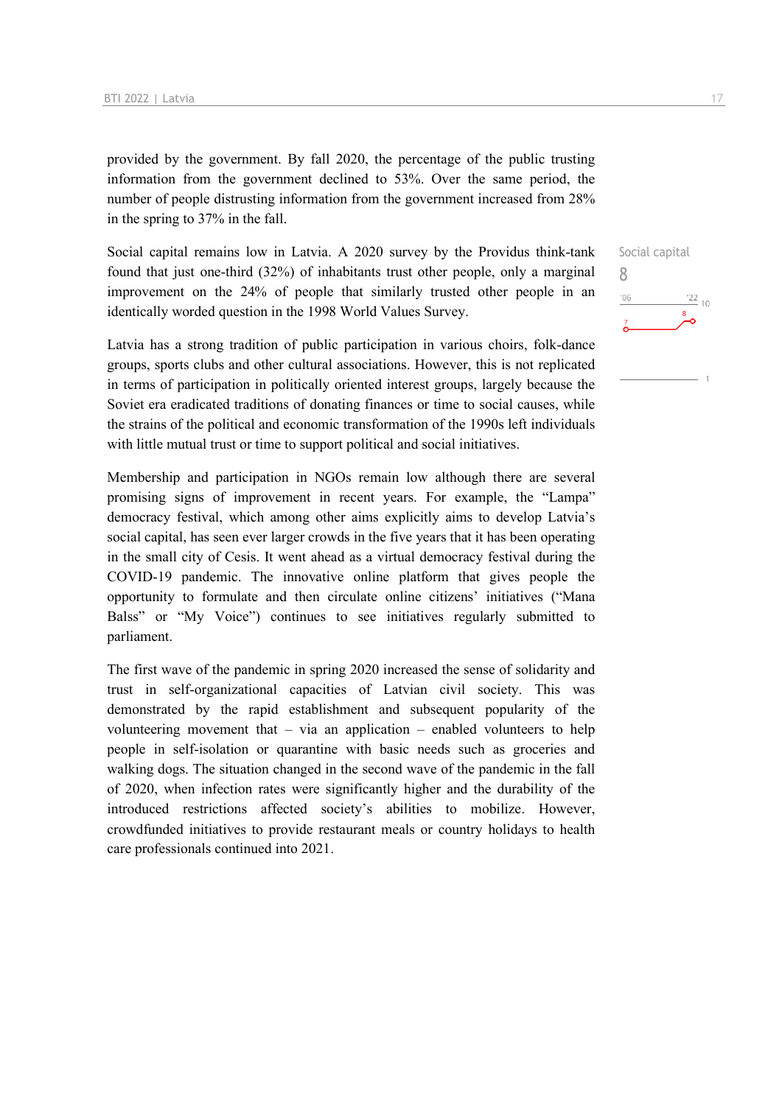provided by the government. By fall 2020, the percentage of the public trusting information from the government declined to 53%. Over the same period, the number of people distrusting information from the government increased from 28% in the spring to 37% in the fall.

Social capital remains low in Latvia. A 2020 survey by the Providus think-tank found that just one-third (32%) of inhabitants trust other people, only a marginal improvement on the 24% of people that similarly trusted other people in an identically worded question in the 1998 World Values Survey.

Latvia has a strong tradition of public participation in various choirs, folk-dance groups, sports clubs and other cultural associations. However, this is not replicated in terms of participation in politically oriented interest groups, largely because the Soviet era eradicated traditions of donating finances or time to social causes, while the strains of the political and economic transformation of the 1990s left individuals with little mutual trust or time to support political and social initiatives.

Membership and participation in NGOs remain low although there are several promising signs of improvement in recent years. For example, the "Lampa" democracy festival, which among other aims explicitly aims to develop Latvia's social capital, has seen ever larger crowds in the five years that it has been operating in the small city of Cesis. It went ahead as a virtual democracy festival during the COVID-19 pandemic. The innovative online platform that gives people the opportunity to formulate and then circulate online citizens' initiatives ("Mana Balss" or "My Voice") continues to see initiatives regularly submitted to parliament.

The first wave of the pandemic in spring 2020 increased the sense of solidarity and trust in self-organizational capacities of Latvian civil society. This was demonstrated by the rapid establishment and subsequent popularity of the volunteering movement that – via an application – enabled volunteers to help people in self-isolation or quarantine with basic needs such as groceries and walking dogs. The situation changed in the second wave of the pandemic in the fall of 2020, when infection rates were significantly higher and the durability of the introduced restrictions affected society's abilities to mobilize. However, crowdfunded initiatives to provide restaurant meals or country holidays to health care professionals continued into 2021.

Social capital 8 $\frac{22}{10}$  $-06$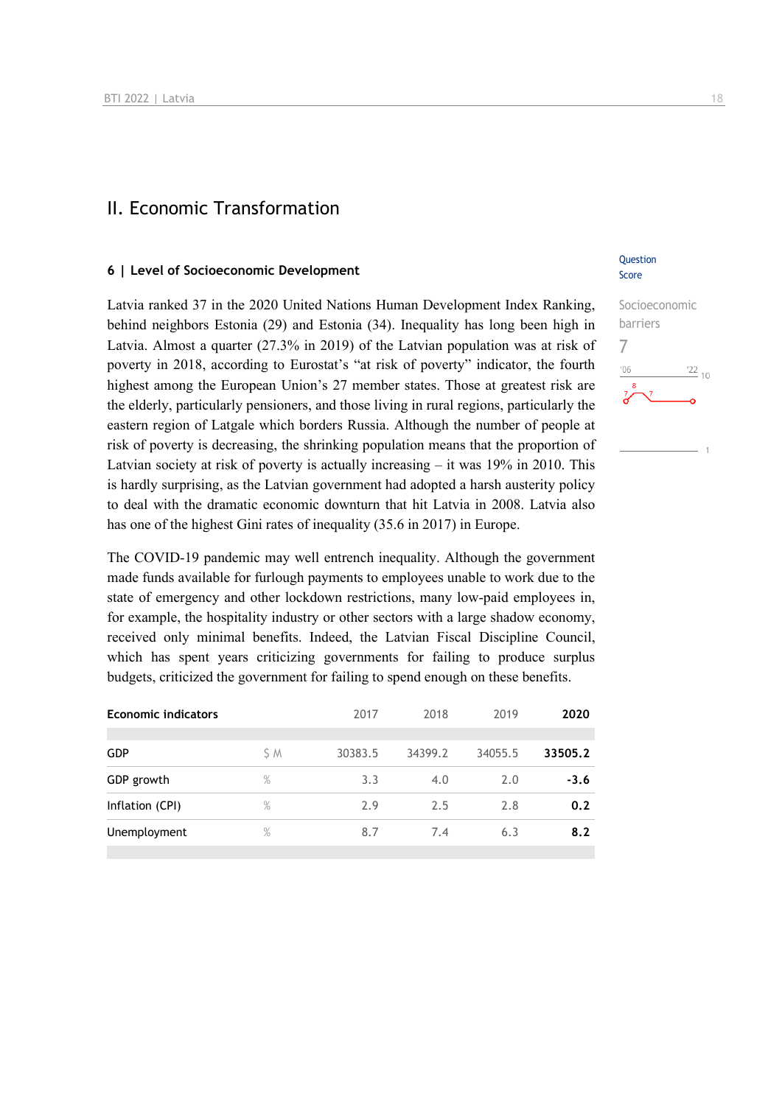## II. Economic Transformation

#### **6 | Level of Socioeconomic Development**

Latvia ranked 37 in the 2020 United Nations Human Development Index Ranking, behind neighbors Estonia (29) and Estonia (34). Inequality has long been high in Latvia. Almost a quarter (27.3% in 2019) of the Latvian population was at risk of poverty in 2018, according to Eurostat's "at risk of poverty" indicator, the fourth highest among the European Union's 27 member states. Those at greatest risk are the elderly, particularly pensioners, and those living in rural regions, particularly the eastern region of Latgale which borders Russia. Although the number of people at risk of poverty is decreasing, the shrinking population means that the proportion of Latvian society at risk of poverty is actually increasing – it was 19% in 2010. This is hardly surprising, as the Latvian government had adopted a harsh austerity policy to deal with the dramatic economic downturn that hit Latvia in 2008. Latvia also has one of the highest Gini rates of inequality (35.6 in 2017) in Europe.

The COVID-19 pandemic may well entrench inequality. Although the government made funds available for furlough payments to employees unable to work due to the state of emergency and other lockdown restrictions, many low-paid employees in, for example, the hospitality industry or other sectors with a large shadow economy, received only minimal benefits. Indeed, the Latvian Fiscal Discipline Council, which has spent years criticizing governments for failing to produce surplus budgets, criticized the government for failing to spend enough on these benefits.

| <b>Economic indicators</b> |      | 2017    | 2018    | 2019    | 2020    |
|----------------------------|------|---------|---------|---------|---------|
| <b>GDP</b>                 | S M  | 30383.5 | 34399.2 | 34055.5 | 33505.2 |
| GDP growth                 | %    | 3.3     | 4.0     | 2.0     | $-3.6$  |
| Inflation (CPI)            | %    | 2.9     | 2.5     | 2.8     | 0.2     |
| Unemployment               | $\%$ | 8.7     | 7.4     | 6.3     | 8.2     |
|                            |      |         |         |         |         |

#### **Ouestion** Score

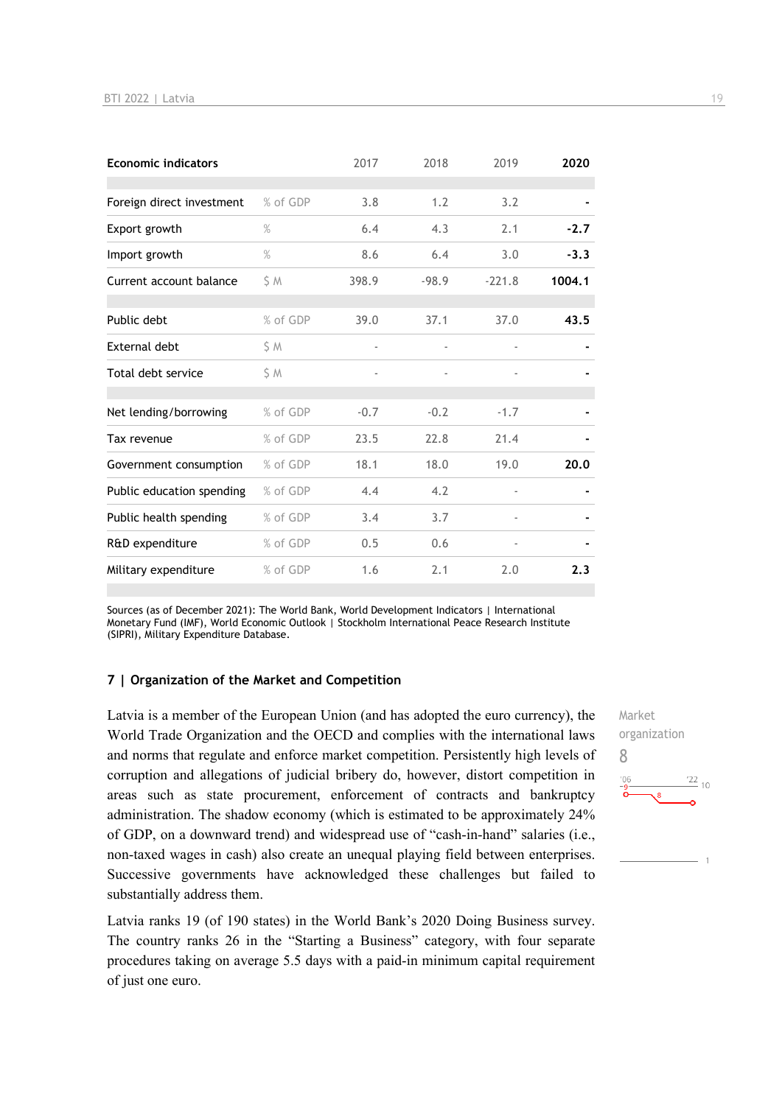| <b>Economic indicators</b> |               | 2017   | 2018    | 2019     | 2020   |
|----------------------------|---------------|--------|---------|----------|--------|
| Foreign direct investment  | % of GDP      | 3.8    | 1.2     | 3.2      |        |
| Export growth              | $\frac{9}{6}$ | 6.4    | 4.3     | 2.1      | $-2.7$ |
| Import growth              | %             | 8.6    | 6.4     | 3.0      | $-3.3$ |
| Current account balance    | S M           | 398.9  | $-98.9$ | $-221.8$ | 1004.1 |
| Public debt                | % of GDP      | 39.0   | 37.1    | 37.0     | 43.5   |
| External debt              | S M           |        |         |          |        |
| Total debt service         | S M           |        |         |          |        |
| Net lending/borrowing      | % of GDP      | $-0.7$ | $-0.2$  | $-1.7$   |        |
| Tax revenue                | % of GDP      | 23.5   | 22.8    | 21.4     |        |
| Government consumption     | % of GDP      | 18.1   | 18.0    | 19.0     | 20.0   |
| Public education spending  | % of GDP      | 4.4    | 4.2     |          |        |
| Public health spending     | % of GDP      | 3.4    | 3.7     |          |        |
| R&D expenditure            | % of GDP      | 0.5    | 0.6     |          |        |
| Military expenditure       | % of GDP      | 1.6    | 2.1     | 2.0      | 2.3    |

Sources (as of December 2021): The World Bank, World Development Indicators | International Monetary Fund (IMF), World Economic Outlook | Stockholm International Peace Research Institute (SIPRI), Military Expenditure Database.

#### **7 | Organization of the Market and Competition**

Latvia is a member of the European Union (and has adopted the euro currency), the World Trade Organization and the OECD and complies with the international laws and norms that regulate and enforce market competition. Persistently high levels of corruption and allegations of judicial bribery do, however, distort competition in areas such as state procurement, enforcement of contracts and bankruptcy administration. The shadow economy (which is estimated to be approximately 24% of GDP, on a downward trend) and widespread use of "cash-in-hand" salaries (i.e., non-taxed wages in cash) also create an unequal playing field between enterprises. Successive governments have acknowledged these challenges but failed to substantially address them.

Latvia ranks 19 (of 190 states) in the World Bank's 2020 Doing Business survey. The country ranks 26 in the "Starting a Business" category, with four separate procedures taking on average 5.5 days with a paid-in minimum capital requirement of just one euro.

Market organization 8 $\frac{22}{10}$  $n<sub>f</sub>$ 

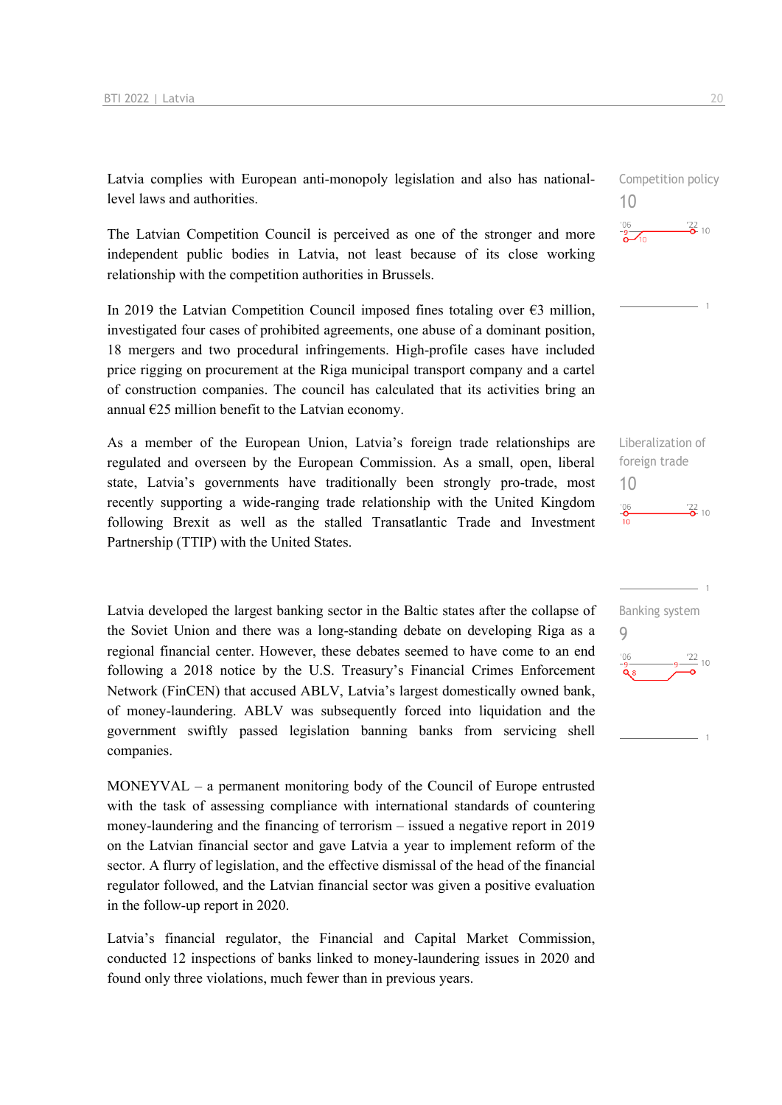Latvia complies with European anti-monopoly legislation and also has nationallevel laws and authorities.

The Latvian Competition Council is perceived as one of the stronger and more independent public bodies in Latvia, not least because of its close working relationship with the competition authorities in Brussels.

In 2019 the Latvian Competition Council imposed fines totaling over  $\epsilon$ 3 million, investigated four cases of prohibited agreements, one abuse of a dominant position, 18 mergers and two procedural infringements. High-profile cases have included price rigging on procurement at the Riga municipal transport company and a cartel of construction companies. The council has calculated that its activities bring an annual  $\epsilon$ 25 million benefit to the Latvian economy.

As a member of the European Union, Latvia's foreign trade relationships are regulated and overseen by the European Commission. As a small, open, liberal state, Latvia's governments have traditionally been strongly pro-trade, most recently supporting a wide-ranging trade relationship with the United Kingdom following Brexit as well as the stalled Transatlantic Trade and Investment Partnership (TTIP) with the United States.

Latvia developed the largest banking sector in the Baltic states after the collapse of the Soviet Union and there was a long-standing debate on developing Riga as a regional financial center. However, these debates seemed to have come to an end following a 2018 notice by the U.S. Treasury's Financial Crimes Enforcement Network (FinCEN) that accused ABLV, Latvia's largest domestically owned bank, of money-laundering. ABLV was subsequently forced into liquidation and the government swiftly passed legislation banning banks from servicing shell companies.

MONEYVAL – a permanent monitoring body of the Council of Europe entrusted with the task of assessing compliance with international standards of countering money-laundering and the financing of terrorism – issued a negative report in 2019 on the Latvian financial sector and gave Latvia a year to implement reform of the sector. A flurry of legislation, and the effective dismissal of the head of the financial regulator followed, and the Latvian financial sector was given a positive evaluation in the follow-up report in 2020.

Latvia's financial regulator, the Financial and Capital Market Commission, conducted 12 inspections of banks linked to money-laundering issues in 2020 and found only three violations, much fewer than in previous years.

Competition policy 10  $\frac{22}{2}$  10

Liberalization of foreign trade 10  $\frac{22}{2}$  10

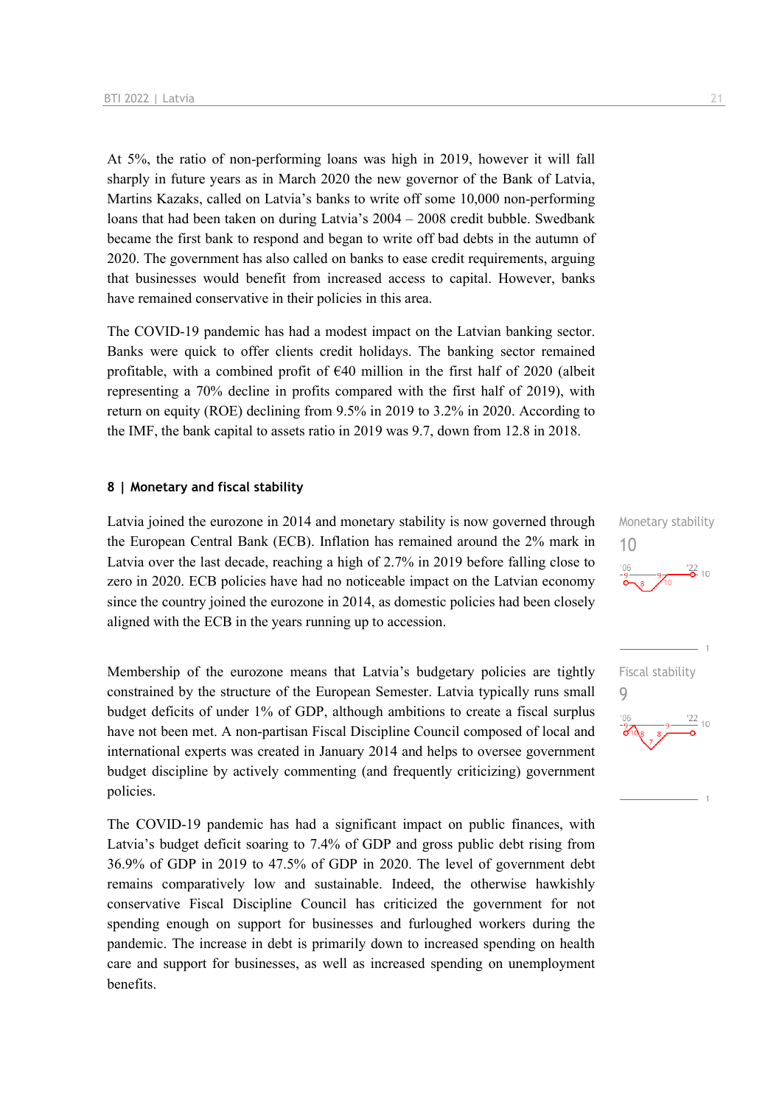At 5%, the ratio of non-performing loans was high in 2019, however it will fall sharply in future years as in March 2020 the new governor of the Bank of Latvia, Martins Kazaks, called on Latvia's banks to write off some 10,000 non-performing loans that had been taken on during Latvia's 2004 – 2008 credit bubble. Swedbank became the first bank to respond and began to write off bad debts in the autumn of 2020. The government has also called on banks to ease credit requirements, arguing that businesses would benefit from increased access to capital. However, banks have remained conservative in their policies in this area.

The COVID-19 pandemic has had a modest impact on the Latvian banking sector. Banks were quick to offer clients credit holidays. The banking sector remained profitable, with a combined profit of  $\epsilon$ 40 million in the first half of 2020 (albeit representing a 70% decline in profits compared with the first half of 2019), with return on equity (ROE) declining from 9.5% in 2019 to 3.2% in 2020. According to the IMF, the bank capital to assets ratio in 2019 was 9.7, down from 12.8 in 2018.

#### **8 | Monetary and fiscal stability**

Latvia joined the eurozone in 2014 and monetary stability is now governed through the European Central Bank (ECB). Inflation has remained around the 2% mark in Latvia over the last decade, reaching a high of 2.7% in 2019 before falling close to zero in 2020. ECB policies have had no noticeable impact on the Latvian economy since the country joined the eurozone in 2014, as domestic policies had been closely aligned with the ECB in the years running up to accession.

Membership of the eurozone means that Latvia's budgetary policies are tightly constrained by the structure of the European Semester. Latvia typically runs small budget deficits of under 1% of GDP, although ambitions to create a fiscal surplus have not been met. A non-partisan Fiscal Discipline Council composed of local and international experts was created in January 2014 and helps to oversee government budget discipline by actively commenting (and frequently criticizing) government policies.

The COVID-19 pandemic has had a significant impact on public finances, with Latvia's budget deficit soaring to 7.4% of GDP and gross public debt rising from 36.9% of GDP in 2019 to 47.5% of GDP in 2020. The level of government debt remains comparatively low and sustainable. Indeed, the otherwise hawkishly conservative Fiscal Discipline Council has criticized the government for not spending enough on support for businesses and furloughed workers during the pandemic. The increase in debt is primarily down to increased spending on health care and support for businesses, as well as increased spending on unemployment benefits.



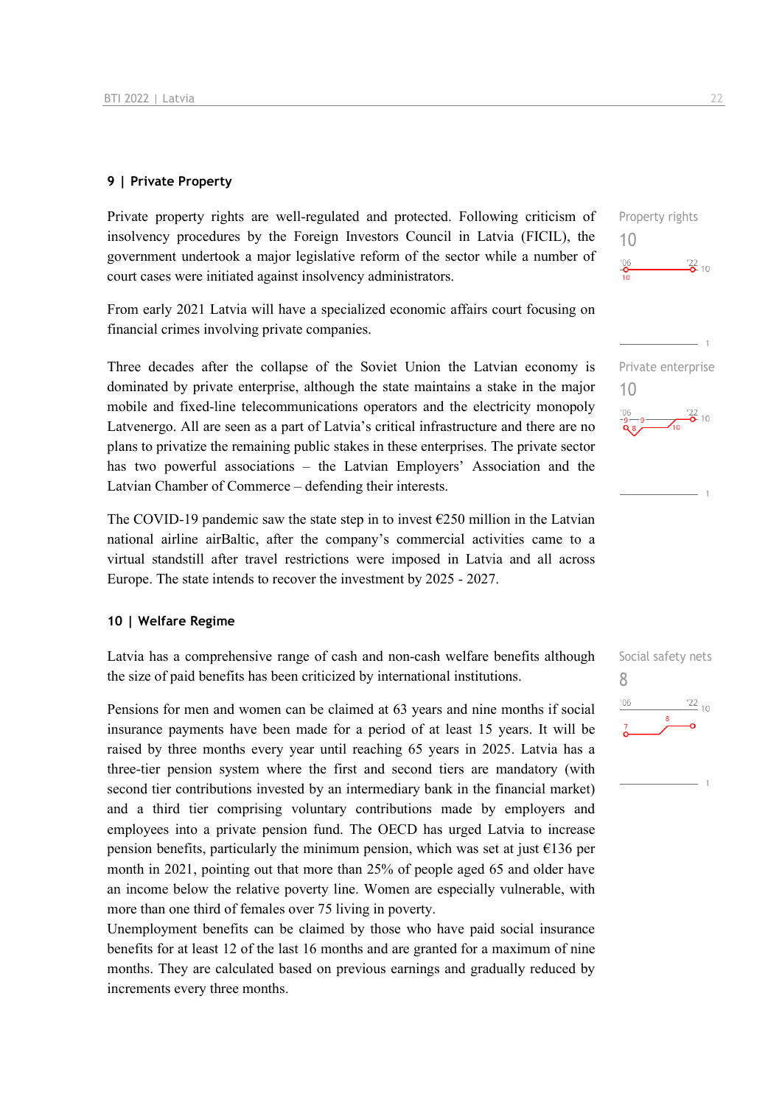#### **9 | Private Property**

Private property rights are well-regulated and protected. Following criticism of insolvency procedures by the Foreign Investors Council in Latvia (FICIL), the government undertook a major legislative reform of the sector while a number of court cases were initiated against insolvency administrators.

From early 2021 Latvia will have a specialized economic affairs court focusing on financial crimes involving private companies.

Three decades after the collapse of the Soviet Union the Latvian economy is dominated by private enterprise, although the state maintains a stake in the major mobile and fixed-line telecommunications operators and the electricity monopoly Latvenergo. All are seen as a part of Latvia's critical infrastructure and there are no plans to privatize the remaining public stakes in these enterprises. The private sector has two powerful associations – the Latvian Employers' Association and the Latvian Chamber of Commerce – defending their interests.

The COVID-19 pandemic saw the state step in to invest  $\epsilon$ 250 million in the Latvian national airline airBaltic, after the company's commercial activities came to a virtual standstill after travel restrictions were imposed in Latvia and all across Europe. The state intends to recover the investment by 2025 - 2027.

#### **10 | Welfare Regime**

Latvia has a comprehensive range of cash and non-cash welfare benefits although the size of paid benefits has been criticized by international institutions.

Pensions for men and women can be claimed at 63 years and nine months if social insurance payments have been made for a period of at least 15 years. It will be raised by three months every year until reaching 65 years in 2025. Latvia has a three-tier pension system where the first and second tiers are mandatory (with second tier contributions invested by an intermediary bank in the financial market) and a third tier comprising voluntary contributions made by employers and employees into a private pension fund. The OECD has urged Latvia to increase pension benefits, particularly the minimum pension, which was set at just €136 per month in 2021, pointing out that more than 25% of people aged 65 and older have an income below the relative poverty line. Women are especially vulnerable, with more than one third of females over 75 living in poverty.

Unemployment benefits can be claimed by those who have paid social insurance benefits for at least 12 of the last 16 months and are granted for a maximum of nine months. They are calculated based on previous earnings and gradually reduced by increments every three months.

Property rights

 $\frac{22}{2}$  10

Private enterprise

 $rac{06}{9}$  9  $rac{72}{9}$  10

Social safety nets

 $\frac{22}{10}$ 

8

 $106$ 

10

 $\frac{106}{2}$ 

10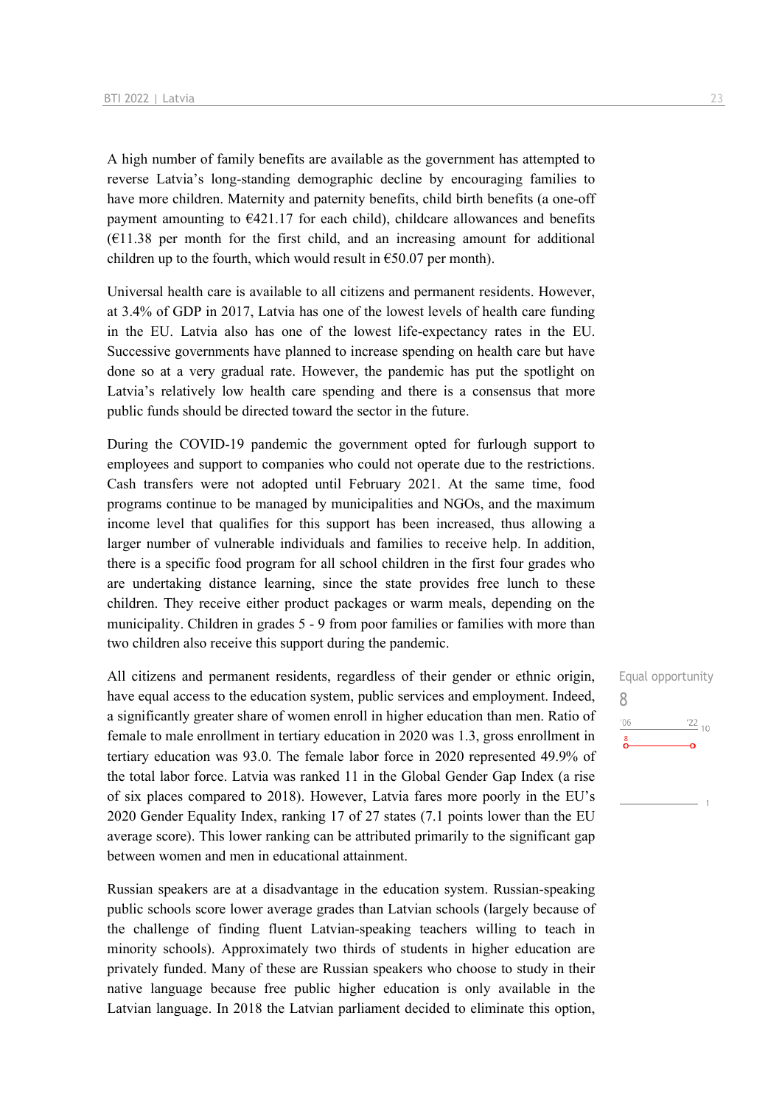A high number of family benefits are available as the government has attempted to reverse Latvia's long-standing demographic decline by encouraging families to have more children. Maternity and paternity benefits, child birth benefits (a one-off payment amounting to  $E$ 421.17 for each child), childcare allowances and benefits  $(E11.38$  per month for the first child, and an increasing amount for additional children up to the fourth, which would result in  $\epsilon$ 50.07 per month).

Universal health care is available to all citizens and permanent residents. However, at 3.4% of GDP in 2017, Latvia has one of the lowest levels of health care funding in the EU. Latvia also has one of the lowest life-expectancy rates in the EU. Successive governments have planned to increase spending on health care but have done so at a very gradual rate. However, the pandemic has put the spotlight on Latvia's relatively low health care spending and there is a consensus that more public funds should be directed toward the sector in the future.

During the COVID-19 pandemic the government opted for furlough support to employees and support to companies who could not operate due to the restrictions. Cash transfers were not adopted until February 2021. At the same time, food programs continue to be managed by municipalities and NGOs, and the maximum income level that qualifies for this support has been increased, thus allowing a larger number of vulnerable individuals and families to receive help. In addition, there is a specific food program for all school children in the first four grades who are undertaking distance learning, since the state provides free lunch to these children. They receive either product packages or warm meals, depending on the municipality. Children in grades 5 - 9 from poor families or families with more than two children also receive this support during the pandemic.

All citizens and permanent residents, regardless of their gender or ethnic origin, have equal access to the education system, public services and employment. Indeed, a significantly greater share of women enroll in higher education than men. Ratio of female to male enrollment in tertiary education in 2020 was 1.3, gross enrollment in tertiary education was 93.0. The female labor force in 2020 represented 49.9% of the total labor force. Latvia was ranked 11 in the Global Gender Gap Index (a rise of six places compared to 2018). However, Latvia fares more poorly in the EU's 2020 Gender Equality Index, ranking 17 of 27 states (7.1 points lower than the EU average score). This lower ranking can be attributed primarily to the significant gap between women and men in educational attainment.

Russian speakers are at a disadvantage in the education system. Russian-speaking public schools score lower average grades than Latvian schools (largely because of the challenge of finding fluent Latvian-speaking teachers willing to teach in minority schools). Approximately two thirds of students in higher education are privately funded. Many of these are Russian speakers who choose to study in their native language because free public higher education is only available in the Latvian language. In 2018 the Latvian parliament decided to eliminate this option,

Equal opportunity 8 $\frac{22}{10}$  $^{\prime}06$  $\delta$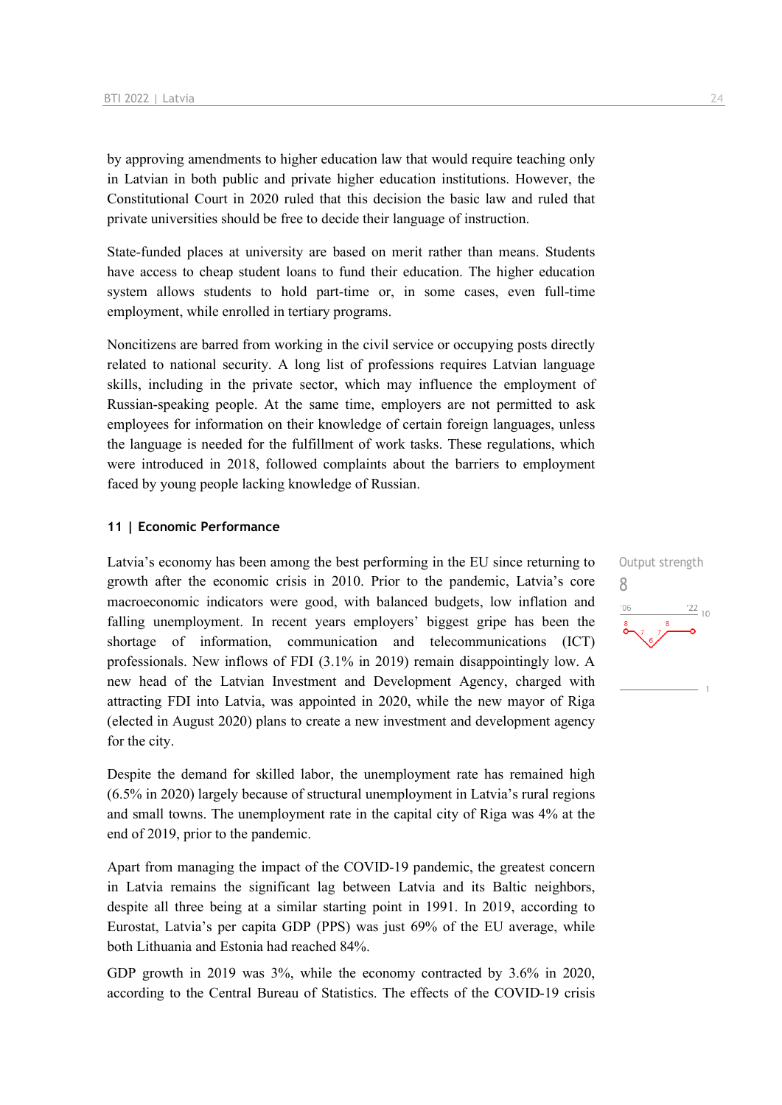by approving amendments to higher education law that would require teaching only in Latvian in both public and private higher education institutions. However, the Constitutional Court in 2020 ruled that this decision the basic law and ruled that private universities should be free to decide their language of instruction.

State-funded places at university are based on merit rather than means. Students have access to cheap student loans to fund their education. The higher education system allows students to hold part-time or, in some cases, even full-time employment, while enrolled in tertiary programs.

Noncitizens are barred from working in the civil service or occupying posts directly related to national security. A long list of professions requires Latvian language skills, including in the private sector, which may influence the employment of Russian-speaking people. At the same time, employers are not permitted to ask employees for information on their knowledge of certain foreign languages, unless the language is needed for the fulfillment of work tasks. These regulations, which were introduced in 2018, followed complaints about the barriers to employment faced by young people lacking knowledge of Russian.

#### **11 | Economic Performance**

Latvia's economy has been among the best performing in the EU since returning to growth after the economic crisis in 2010. Prior to the pandemic, Latvia's core macroeconomic indicators were good, with balanced budgets, low inflation and falling unemployment. In recent years employers' biggest gripe has been the shortage of information, communication and telecommunications (ICT) professionals. New inflows of FDI (3.1% in 2019) remain disappointingly low. A new head of the Latvian Investment and Development Agency, charged with attracting FDI into Latvia, was appointed in 2020, while the new mayor of Riga (elected in August 2020) plans to create a new investment and development agency for the city.

Despite the demand for skilled labor, the unemployment rate has remained high (6.5% in 2020) largely because of structural unemployment in Latvia's rural regions and small towns. The unemployment rate in the capital city of Riga was 4% at the end of 2019, prior to the pandemic.

Apart from managing the impact of the COVID-19 pandemic, the greatest concern in Latvia remains the significant lag between Latvia and its Baltic neighbors, despite all three being at a similar starting point in 1991. In 2019, according to Eurostat, Latvia's per capita GDP (PPS) was just 69% of the EU average, while both Lithuania and Estonia had reached 84%.

GDP growth in 2019 was 3%, while the economy contracted by 3.6% in 2020, according to the Central Bureau of Statistics. The effects of the COVID-19 crisis

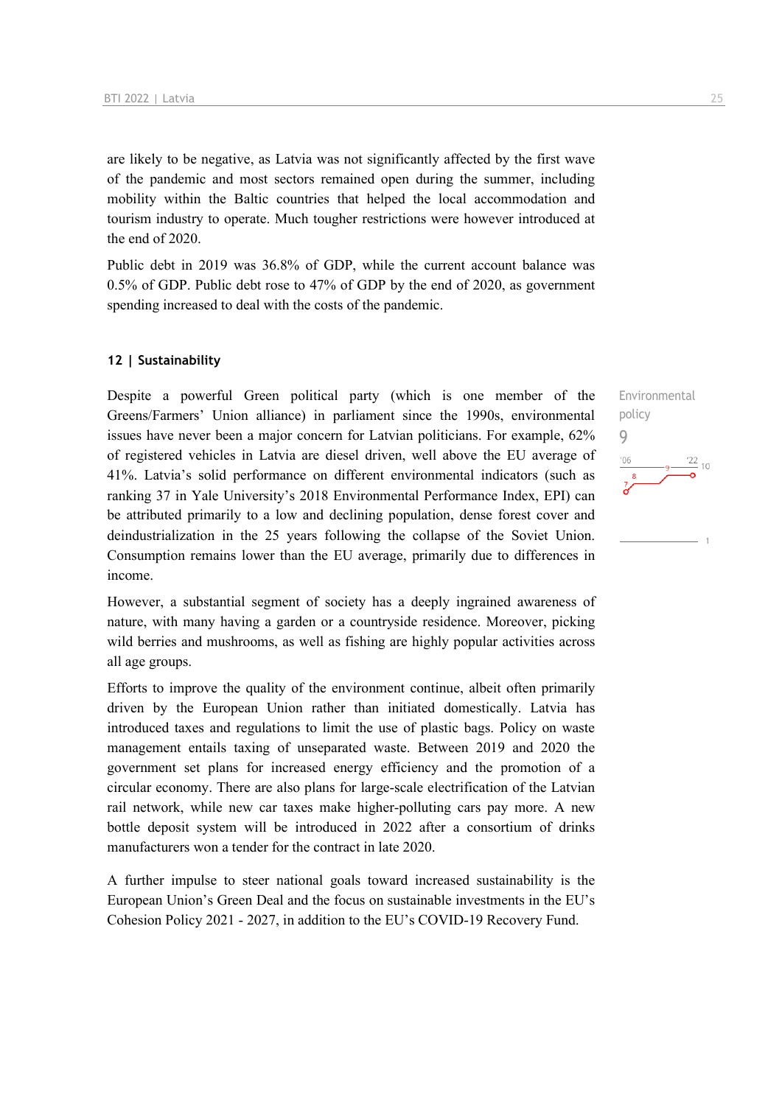are likely to be negative, as Latvia was not significantly affected by the first wave of the pandemic and most sectors remained open during the summer, including mobility within the Baltic countries that helped the local accommodation and tourism industry to operate. Much tougher restrictions were however introduced at the end of 2020.

Public debt in 2019 was 36.8% of GDP, while the current account balance was 0.5% of GDP. Public debt rose to 47% of GDP by the end of 2020, as government spending increased to deal with the costs of the pandemic.

#### **12 | Sustainability**

Despite a powerful Green political party (which is one member of the Greens/Farmers' Union alliance) in parliament since the 1990s, environmental issues have never been a major concern for Latvian politicians. For example, 62% of registered vehicles in Latvia are diesel driven, well above the EU average of 41%. Latvia's solid performance on different environmental indicators (such as ranking 37 in Yale University's 2018 Environmental Performance Index, EPI) can be attributed primarily to a low and declining population, dense forest cover and deindustrialization in the 25 years following the collapse of the Soviet Union. Consumption remains lower than the EU average, primarily due to differences in income.

However, a substantial segment of society has a deeply ingrained awareness of nature, with many having a garden or a countryside residence. Moreover, picking wild berries and mushrooms, as well as fishing are highly popular activities across all age groups.

Efforts to improve the quality of the environment continue, albeit often primarily driven by the European Union rather than initiated domestically. Latvia has introduced taxes and regulations to limit the use of plastic bags. Policy on waste management entails taxing of unseparated waste. Between 2019 and 2020 the government set plans for increased energy efficiency and the promotion of a circular economy. There are also plans for large-scale electrification of the Latvian rail network, while new car taxes make higher-polluting cars pay more. A new bottle deposit system will be introduced in 2022 after a consortium of drinks manufacturers won a tender for the contract in late 2020.

A further impulse to steer national goals toward increased sustainability is the European Union's Green Deal and the focus on sustainable investments in the EU's Cohesion Policy 2021 - 2027, in addition to the EU's COVID-19 Recovery Fund.

Environmental policy 9 $\frac{22}{10}$  $'06$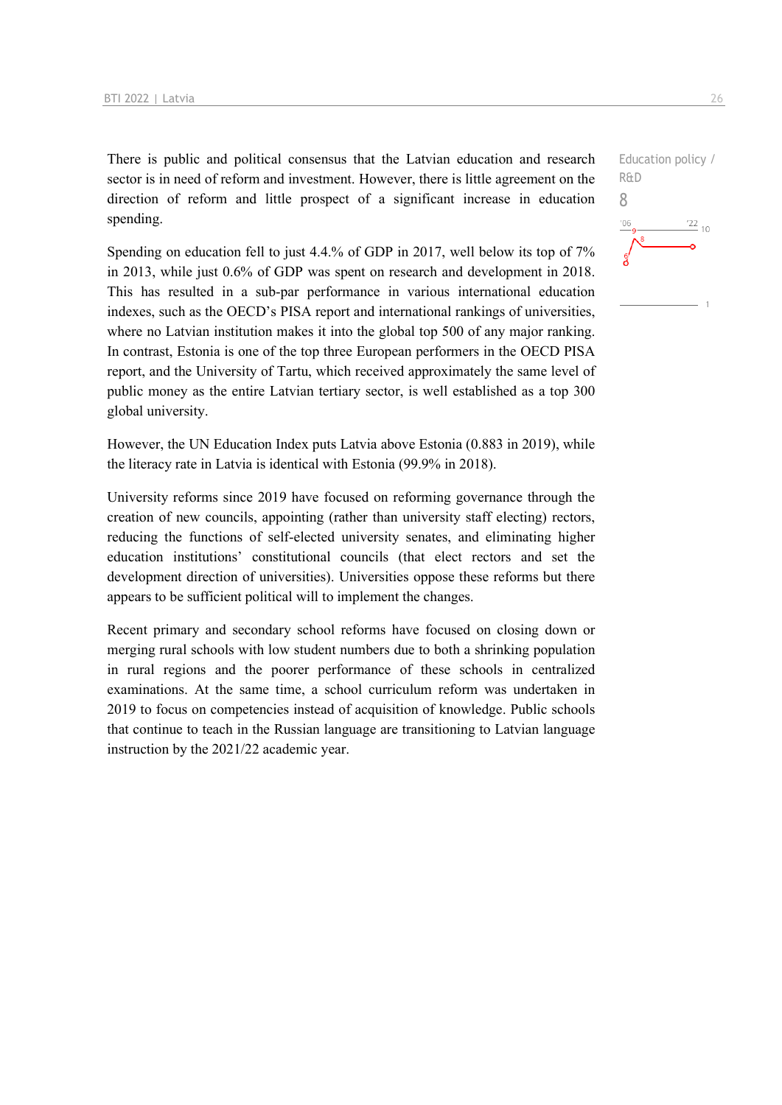There is public and political consensus that the Latvian education and research sector is in need of reform and investment. However, there is little agreement on the direction of reform and little prospect of a significant increase in education spending.

Spending on education fell to just 4.4.% of GDP in 2017, well below its top of 7% in 2013, while just 0.6% of GDP was spent on research and development in 2018. This has resulted in a sub-par performance in various international education indexes, such as the OECD's PISA report and international rankings of universities, where no Latvian institution makes it into the global top 500 of any major ranking. In contrast, Estonia is one of the top three European performers in the OECD PISA report, and the University of Tartu, which received approximately the same level of public money as the entire Latvian tertiary sector, is well established as a top 300 global university.

However, the UN Education Index puts Latvia above Estonia (0.883 in 2019), while the literacy rate in Latvia is identical with Estonia (99.9% in 2018).

University reforms since 2019 have focused on reforming governance through the creation of new councils, appointing (rather than university staff electing) rectors, reducing the functions of self-elected university senates, and eliminating higher education institutions' constitutional councils (that elect rectors and set the development direction of universities). Universities oppose these reforms but there appears to be sufficient political will to implement the changes.

Recent primary and secondary school reforms have focused on closing down or merging rural schools with low student numbers due to both a shrinking population in rural regions and the poorer performance of these schools in centralized examinations. At the same time, a school curriculum reform was undertaken in 2019 to focus on competencies instead of acquisition of knowledge. Public schools that continue to teach in the Russian language are transitioning to Latvian language instruction by the 2021/22 academic year.

Education policy / R&D 8 $\frac{22}{10}$  $106$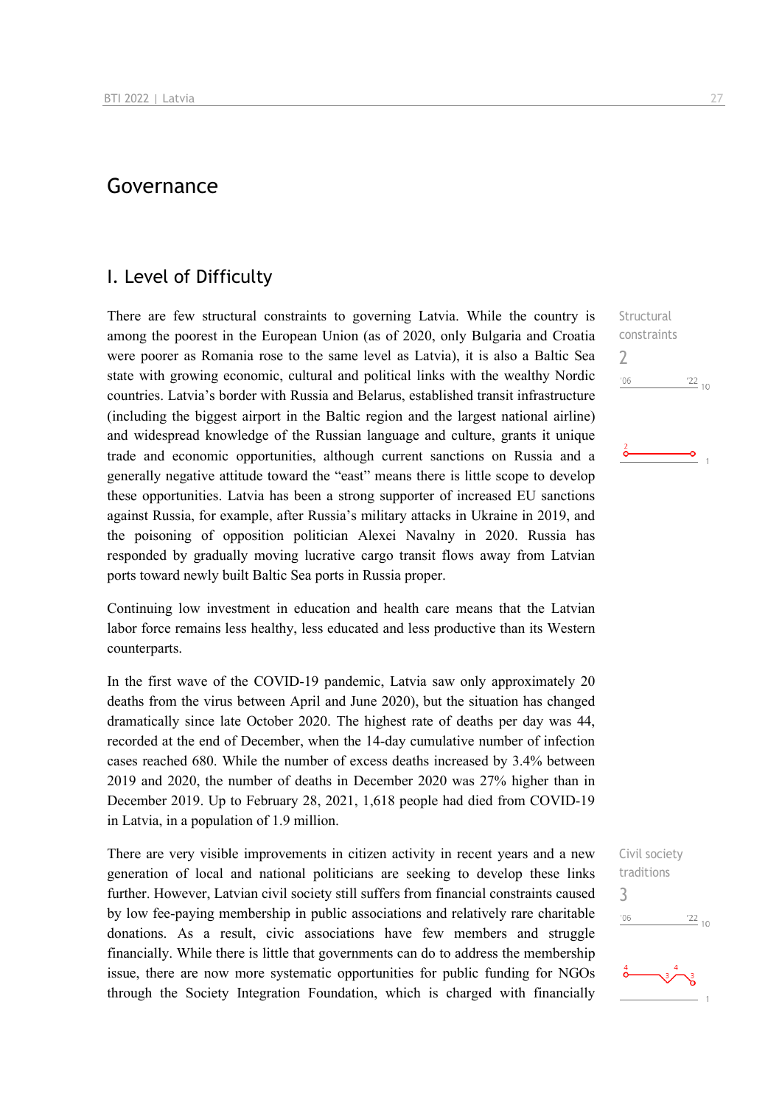## Governance

### I. Level of Difficulty

There are few structural constraints to governing Latvia. While the country is among the poorest in the European Union (as of 2020, only Bulgaria and Croatia were poorer as Romania rose to the same level as Latvia), it is also a Baltic Sea state with growing economic, cultural and political links with the wealthy Nordic countries. Latvia's border with Russia and Belarus, established transit infrastructure (including the biggest airport in the Baltic region and the largest national airline) and widespread knowledge of the Russian language and culture, grants it unique trade and economic opportunities, although current sanctions on Russia and a generally negative attitude toward the "east" means there is little scope to develop these opportunities. Latvia has been a strong supporter of increased EU sanctions against Russia, for example, after Russia's military attacks in Ukraine in 2019, and the poisoning of opposition politician Alexei Navalny in 2020. Russia has responded by gradually moving lucrative cargo transit flows away from Latvian ports toward newly built Baltic Sea ports in Russia proper.

Continuing low investment in education and health care means that the Latvian labor force remains less healthy, less educated and less productive than its Western counterparts.

In the first wave of the COVID-19 pandemic, Latvia saw only approximately 20 deaths from the virus between April and June 2020), but the situation has changed dramatically since late October 2020. The highest rate of deaths per day was 44, recorded at the end of December, when the 14-day cumulative number of infection cases reached 680. While the number of excess deaths increased by 3.4% between 2019 and 2020, the number of deaths in December 2020 was 27% higher than in December 2019. Up to February 28, 2021, 1,618 people had died from COVID-19 in Latvia, in a population of 1.9 million.

There are very visible improvements in citizen activity in recent years and a new generation of local and national politicians are seeking to develop these links further. However, Latvian civil society still suffers from financial constraints caused by low fee-paying membership in public associations and relatively rare charitable donations. As a result, civic associations have few members and struggle financially. While there is little that governments can do to address the membership issue, there are now more systematic opportunities for public funding for NGOs through the Society Integration Foundation, which is charged with financially Structural constraints 2  $^{\prime}06$  $\frac{22}{10}$ 

Civil society traditions 3 $\frac{22}{10}$  $-06$ 

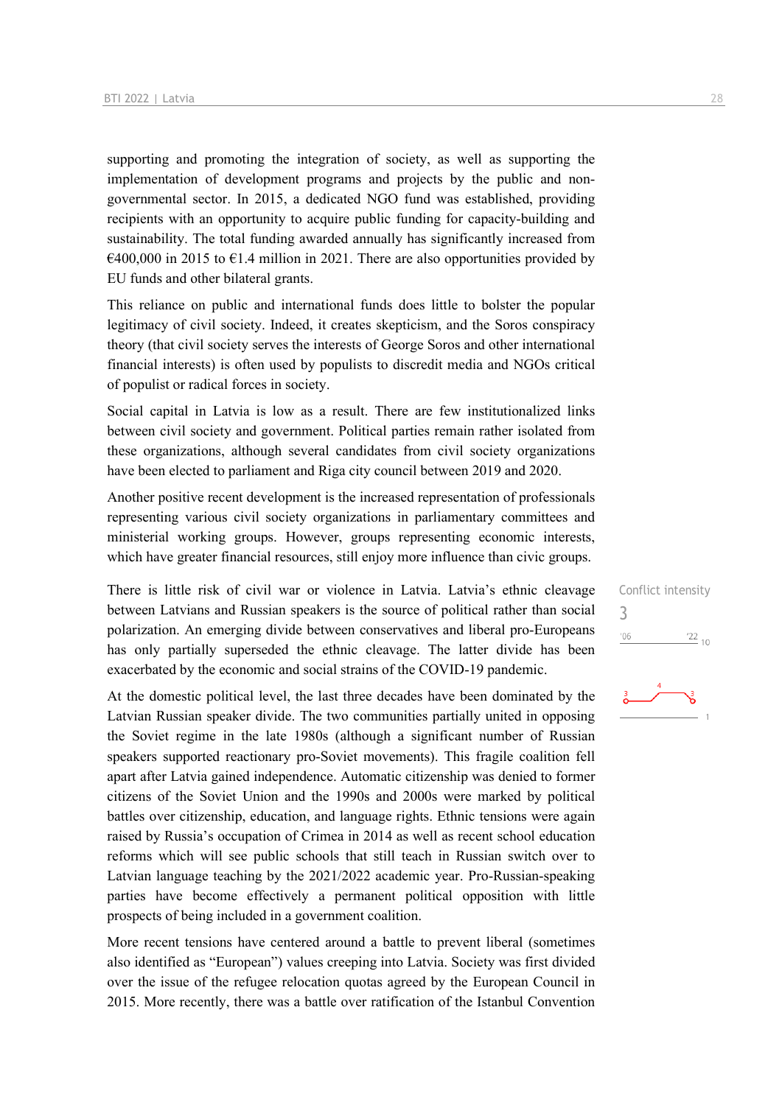supporting and promoting the integration of society, as well as supporting the implementation of development programs and projects by the public and nongovernmental sector. In 2015, a dedicated NGO fund was established, providing recipients with an opportunity to acquire public funding for capacity-building and sustainability. The total funding awarded annually has significantly increased from  $\epsilon$ 400,000 in 2015 to  $\epsilon$ 1.4 million in 2021. There are also opportunities provided by EU funds and other bilateral grants.

This reliance on public and international funds does little to bolster the popular legitimacy of civil society. Indeed, it creates skepticism, and the Soros conspiracy theory (that civil society serves the interests of George Soros and other international financial interests) is often used by populists to discredit media and NGOs critical of populist or radical forces in society.

Social capital in Latvia is low as a result. There are few institutionalized links between civil society and government. Political parties remain rather isolated from these organizations, although several candidates from civil society organizations have been elected to parliament and Riga city council between 2019 and 2020.

Another positive recent development is the increased representation of professionals representing various civil society organizations in parliamentary committees and ministerial working groups. However, groups representing economic interests, which have greater financial resources, still enjoy more influence than civic groups.

There is little risk of civil war or violence in Latvia. Latvia's ethnic cleavage between Latvians and Russian speakers is the source of political rather than social polarization. An emerging divide between conservatives and liberal pro-Europeans has only partially superseded the ethnic cleavage. The latter divide has been exacerbated by the economic and social strains of the COVID-19 pandemic.

At the domestic political level, the last three decades have been dominated by the Latvian Russian speaker divide. The two communities partially united in opposing the Soviet regime in the late 1980s (although a significant number of Russian speakers supported reactionary pro-Soviet movements). This fragile coalition fell apart after Latvia gained independence. Automatic citizenship was denied to former citizens of the Soviet Union and the 1990s and 2000s were marked by political battles over citizenship, education, and language rights. Ethnic tensions were again raised by Russia's occupation of Crimea in 2014 as well as recent school education reforms which will see public schools that still teach in Russian switch over to Latvian language teaching by the 2021/2022 academic year. Pro-Russian-speaking parties have become effectively a permanent political opposition with little prospects of being included in a government coalition.

More recent tensions have centered around a battle to prevent liberal (sometimes also identified as "European") values creeping into Latvia. Society was first divided over the issue of the refugee relocation quotas agreed by the European Council in 2015. More recently, there was a battle over ratification of the Istanbul Convention

Conflict intensity

\n
$$
\frac{3}{100}
$$

\n
$$
\frac{1}{22}
$$

\n
$$
10
$$

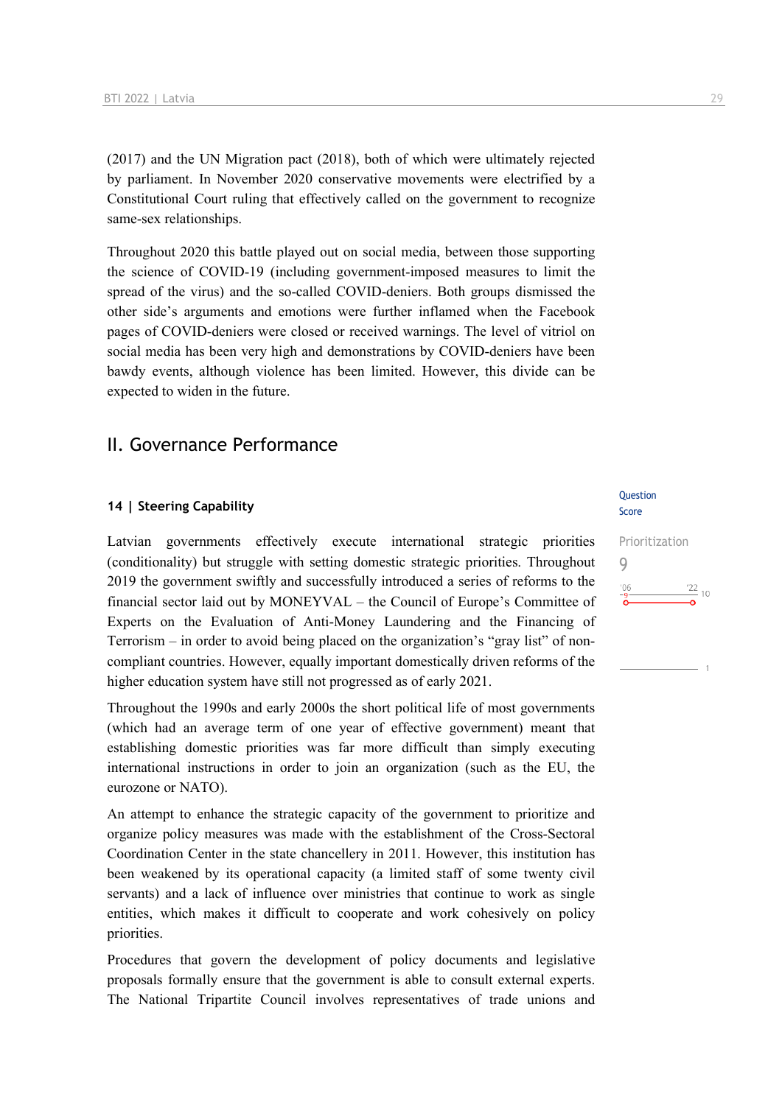(2017) and the UN Migration pact (2018), both of which were ultimately rejected by parliament. In November 2020 conservative movements were electrified by a Constitutional Court ruling that effectively called on the government to recognize same-sex relationships.

Throughout 2020 this battle played out on social media, between those supporting the science of COVID-19 (including government-imposed measures to limit the spread of the virus) and the so-called COVID-deniers. Both groups dismissed the other side's arguments and emotions were further inflamed when the Facebook pages of COVID-deniers were closed or received warnings. The level of vitriol on social media has been very high and demonstrations by COVID-deniers have been bawdy events, although violence has been limited. However, this divide can be expected to widen in the future.

## II. Governance Performance

#### **14 | Steering Capability**

Latvian governments effectively execute international strategic priorities (conditionality) but struggle with setting domestic strategic priorities. Throughout 2019 the government swiftly and successfully introduced a series of reforms to the financial sector laid out by MONEYVAL – the Council of Europe's Committee of Experts on the Evaluation of Anti-Money Laundering and the Financing of Terrorism – in order to avoid being placed on the organization's "gray list" of noncompliant countries. However, equally important domestically driven reforms of the higher education system have still not progressed as of early 2021.

Throughout the 1990s and early 2000s the short political life of most governments (which had an average term of one year of effective government) meant that establishing domestic priorities was far more difficult than simply executing international instructions in order to join an organization (such as the EU, the eurozone or NATO).

An attempt to enhance the strategic capacity of the government to prioritize and organize policy measures was made with the establishment of the Cross-Sectoral Coordination Center in the state chancellery in 2011. However, this institution has been weakened by its operational capacity (a limited staff of some twenty civil servants) and a lack of influence over ministries that continue to work as single entities, which makes it difficult to cooperate and work cohesively on policy priorities.

Procedures that govern the development of policy documents and legislative proposals formally ensure that the government is able to consult external experts. The National Tripartite Council involves representatives of trade unions and

#### **Ouestion** Score

## Prioritization 9 $\frac{22}{10}$  $^{\prime}06$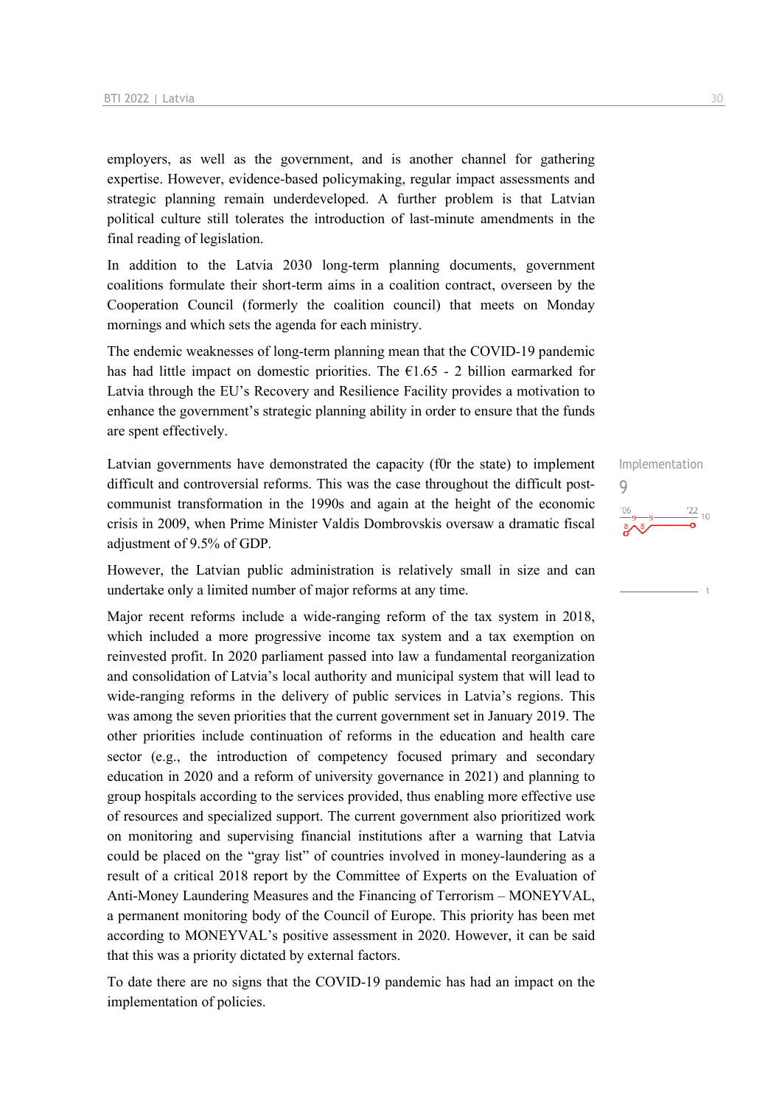employers, as well as the government, and is another channel for gathering expertise. However, evidence-based policymaking, regular impact assessments and strategic planning remain underdeveloped. A further problem is that Latvian political culture still tolerates the introduction of last-minute amendments in the final reading of legislation.

In addition to the Latvia 2030 long-term planning documents, government coalitions formulate their short-term aims in a coalition contract, overseen by the Cooperation Council (formerly the coalition council) that meets on Monday mornings and which sets the agenda for each ministry.

The endemic weaknesses of long-term planning mean that the COVID-19 pandemic has had little impact on domestic priorities. The  $\epsilon$ 1.65 - 2 billion earmarked for Latvia through the EU's Recovery and Resilience Facility provides a motivation to enhance the government's strategic planning ability in order to ensure that the funds are spent effectively.

Latvian governments have demonstrated the capacity (f0r the state) to implement difficult and controversial reforms. This was the case throughout the difficult postcommunist transformation in the 1990s and again at the height of the economic crisis in 2009, when Prime Minister Valdis Dombrovskis oversaw a dramatic fiscal adjustment of 9.5% of GDP.

However, the Latvian public administration is relatively small in size and can undertake only a limited number of major reforms at any time.

Major recent reforms include a wide-ranging reform of the tax system in 2018, which included a more progressive income tax system and a tax exemption on reinvested profit. In 2020 parliament passed into law a fundamental reorganization and consolidation of Latvia's local authority and municipal system that will lead to wide-ranging reforms in the delivery of public services in Latvia's regions. This was among the seven priorities that the current government set in January 2019. The other priorities include continuation of reforms in the education and health care sector (e.g., the introduction of competency focused primary and secondary education in 2020 and a reform of university governance in 2021) and planning to group hospitals according to the services provided, thus enabling more effective use of resources and specialized support. The current government also prioritized work on monitoring and supervising financial institutions after a warning that Latvia could be placed on the "gray list" of countries involved in money-laundering as a result of a critical 2018 report by the Committee of Experts on the Evaluation of Anti-Money Laundering Measures and the Financing of Terrorism – MONEYVAL, a permanent monitoring body of the Council of Europe. This priority has been met according to MONEYVAL's positive assessment in 2020. However, it can be said that this was a priority dictated by external factors.

To date there are no signs that the COVID-19 pandemic has had an impact on the implementation of policies.

Implementation 9 $\frac{22}{10}$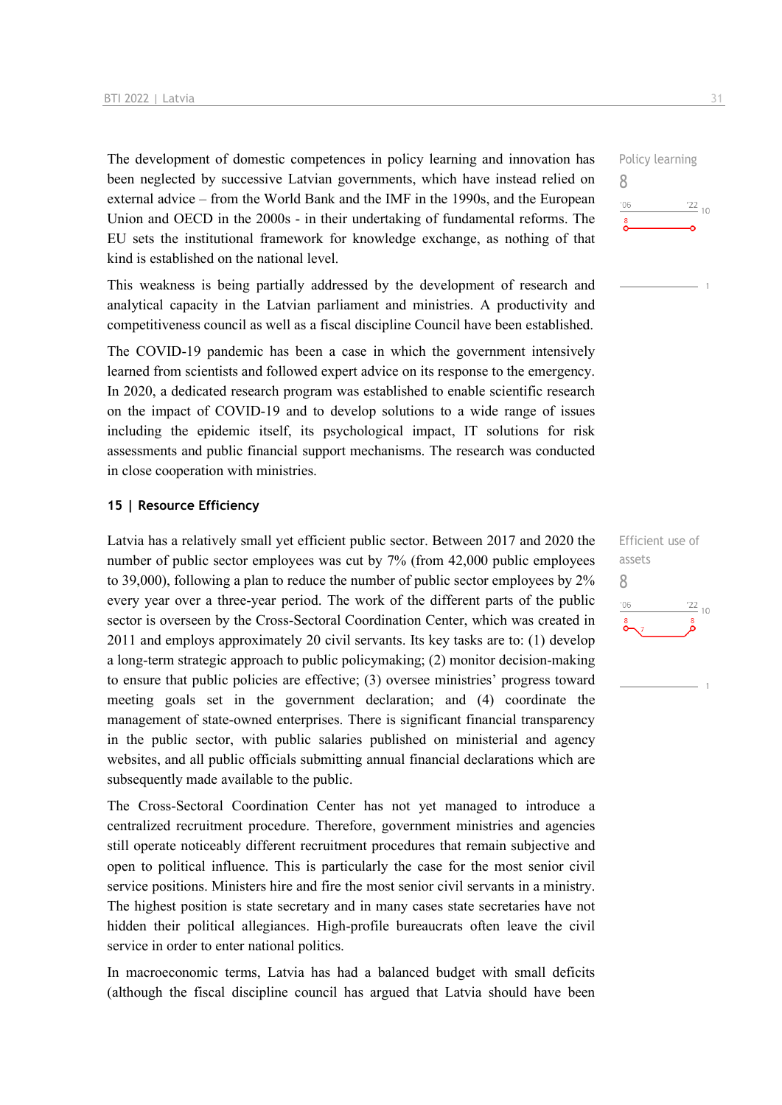The development of domestic competences in policy learning and innovation has been neglected by successive Latvian governments, which have instead relied on external advice – from the World Bank and the IMF in the 1990s, and the European Union and OECD in the 2000s - in their undertaking of fundamental reforms. The EU sets the institutional framework for knowledge exchange, as nothing of that kind is established on the national level.

This weakness is being partially addressed by the development of research and analytical capacity in the Latvian parliament and ministries. A productivity and competitiveness council as well as a fiscal discipline Council have been established.

The COVID-19 pandemic has been a case in which the government intensively learned from scientists and followed expert advice on its response to the emergency. In 2020, a dedicated research program was established to enable scientific research on the impact of COVID-19 and to develop solutions to a wide range of issues including the epidemic itself, its psychological impact, IT solutions for risk assessments and public financial support mechanisms. The research was conducted in close cooperation with ministries.

#### **15 | Resource Efficiency**

Latvia has a relatively small yet efficient public sector. Between 2017 and 2020 the number of public sector employees was cut by 7% (from 42,000 public employees to 39,000), following a plan to reduce the number of public sector employees by 2% every year over a three-year period. The work of the different parts of the public sector is overseen by the Cross-Sectoral Coordination Center, which was created in 2011 and employs approximately 20 civil servants. Its key tasks are to: (1) develop a long-term strategic approach to public policymaking; (2) monitor decision-making to ensure that public policies are effective; (3) oversee ministries' progress toward meeting goals set in the government declaration; and (4) coordinate the management of state-owned enterprises. There is significant financial transparency in the public sector, with public salaries published on ministerial and agency websites, and all public officials submitting annual financial declarations which are subsequently made available to the public.

The Cross-Sectoral Coordination Center has not yet managed to introduce a centralized recruitment procedure. Therefore, government ministries and agencies still operate noticeably different recruitment procedures that remain subjective and open to political influence. This is particularly the case for the most senior civil service positions. Ministers hire and fire the most senior civil servants in a ministry. The highest position is state secretary and in many cases state secretaries have not hidden their political allegiances. High-profile bureaucrats often leave the civil service in order to enter national politics.

In macroeconomic terms, Latvia has had a balanced budget with small deficits (although the fiscal discipline council has argued that Latvia should have been



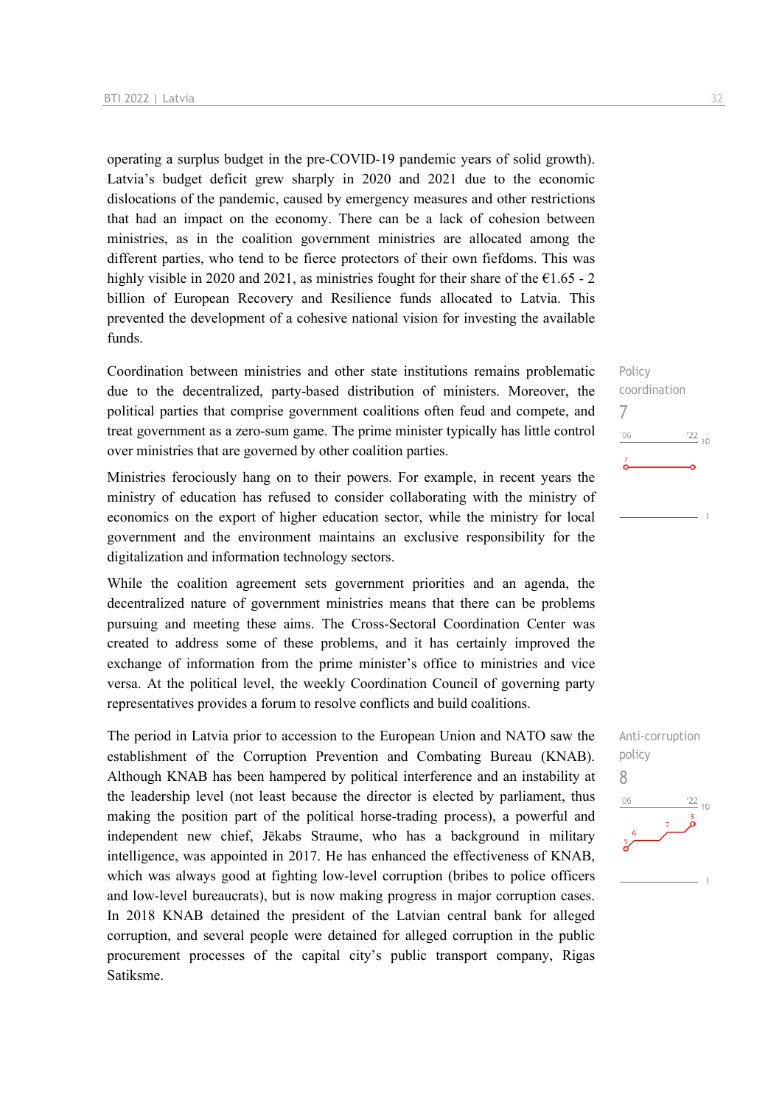operating a surplus budget in the pre-COVID-19 pandemic years of solid growth). Latvia's budget deficit grew sharply in 2020 and 2021 due to the economic dislocations of the pandemic, caused by emergency measures and other restrictions that had an impact on the economy. There can be a lack of cohesion between ministries, as in the coalition government ministries are allocated among the different parties, who tend to be fierce protectors of their own fiefdoms. This was highly visible in 2020 and 2021, as ministries fought for their share of the  $\epsilon$ 1.65 - 2 billion of European Recovery and Resilience funds allocated to Latvia. This prevented the development of a cohesive national vision for investing the available funds.

Coordination between ministries and other state institutions remains problematic due to the decentralized, party-based distribution of ministers. Moreover, the political parties that comprise government coalitions often feud and compete, and treat government as a zero-sum game. The prime minister typically has little control over ministries that are governed by other coalition parties.

Ministries ferociously hang on to their powers. For example, in recent years the ministry of education has refused to consider collaborating with the ministry of economics on the export of higher education sector, while the ministry for local government and the environment maintains an exclusive responsibility for the digitalization and information technology sectors.

While the coalition agreement sets government priorities and an agenda, the decentralized nature of government ministries means that there can be problems pursuing and meeting these aims. The Cross-Sectoral Coordination Center was created to address some of these problems, and it has certainly improved the exchange of information from the prime minister's office to ministries and vice versa. At the political level, the weekly Coordination Council of governing party representatives provides a forum to resolve conflicts and build coalitions.

The period in Latvia prior to accession to the European Union and NATO saw the establishment of the Corruption Prevention and Combating Bureau (KNAB). Although KNAB has been hampered by political interference and an instability at the leadership level (not least because the director is elected by parliament, thus making the position part of the political horse-trading process), a powerful and independent new chief, Jēkabs Straume, who has a background in military intelligence, was appointed in 2017. He has enhanced the effectiveness of KNAB, which was always good at fighting low-level corruption (bribes to police officers and low-level bureaucrats), but is now making progress in major corruption cases. In 2018 KNAB detained the president of the Latvian central bank for alleged corruption, and several people were detained for alleged corruption in the public procurement processes of the capital city's public transport company, Rigas Satiksme.

Policy coordination 7  $\frac{22}{10}$  $-06$ 

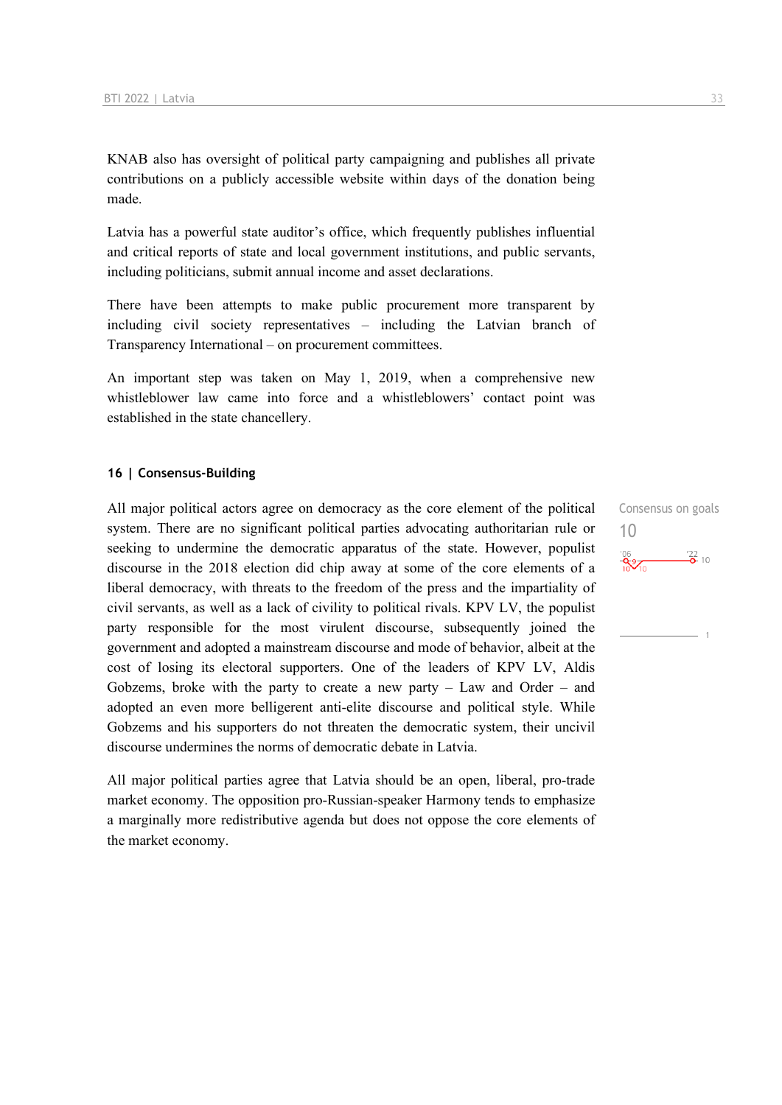KNAB also has oversight of political party campaigning and publishes all private contributions on a publicly accessible website within days of the donation being made.

Latvia has a powerful state auditor's office, which frequently publishes influential and critical reports of state and local government institutions, and public servants, including politicians, submit annual income and asset declarations.

There have been attempts to make public procurement more transparent by including civil society representatives – including the Latvian branch of Transparency International – on procurement committees.

An important step was taken on May 1, 2019, when a comprehensive new whistleblower law came into force and a whistleblowers' contact point was established in the state chancellery.

#### **16 | Consensus-Building**

All major political actors agree on democracy as the core element of the political system. There are no significant political parties advocating authoritarian rule or seeking to undermine the democratic apparatus of the state. However, populist discourse in the 2018 election did chip away at some of the core elements of a liberal democracy, with threats to the freedom of the press and the impartiality of civil servants, as well as a lack of civility to political rivals. KPV LV, the populist party responsible for the most virulent discourse, subsequently joined the government and adopted a mainstream discourse and mode of behavior, albeit at the cost of losing its electoral supporters. One of the leaders of KPV LV, Aldis Gobzems, broke with the party to create a new party  $-$  Law and Order  $-$  and adopted an even more belligerent anti-elite discourse and political style. While Gobzems and his supporters do not threaten the democratic system, their uncivil discourse undermines the norms of democratic debate in Latvia.

All major political parties agree that Latvia should be an open, liberal, pro-trade market economy. The opposition pro-Russian-speaker Harmony tends to emphasize a marginally more redistributive agenda but does not oppose the core elements of the market economy.

Consensus on goals 10 $\frac{106}{20}$   $\frac{122}{20}$  10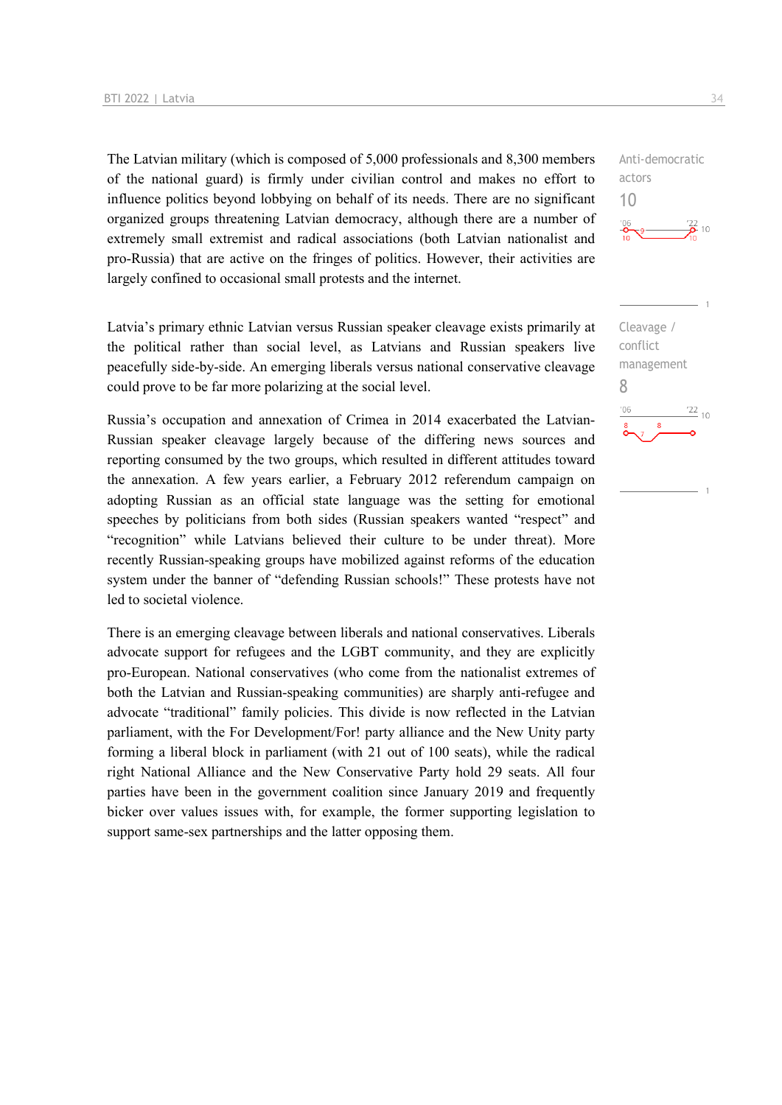The Latvian military (which is composed of 5,000 professionals and 8,300 members of the national guard) is firmly under civilian control and makes no effort to influence politics beyond lobbying on behalf of its needs. There are no significant organized groups threatening Latvian democracy, although there are a number of extremely small extremist and radical associations (both Latvian nationalist and pro-Russia) that are active on the fringes of politics. However, their activities are largely confined to occasional small protests and the internet.

Latvia's primary ethnic Latvian versus Russian speaker cleavage exists primarily at the political rather than social level, as Latvians and Russian speakers live peacefully side-by-side. An emerging liberals versus national conservative cleavage could prove to be far more polarizing at the social level.

Russia's occupation and annexation of Crimea in 2014 exacerbated the Latvian-Russian speaker cleavage largely because of the differing news sources and reporting consumed by the two groups, which resulted in different attitudes toward the annexation. A few years earlier, a February 2012 referendum campaign on adopting Russian as an official state language was the setting for emotional speeches by politicians from both sides (Russian speakers wanted "respect" and "recognition" while Latvians believed their culture to be under threat). More recently Russian-speaking groups have mobilized against reforms of the education system under the banner of "defending Russian schools!" These protests have not led to societal violence.

There is an emerging cleavage between liberals and national conservatives. Liberals advocate support for refugees and the LGBT community, and they are explicitly pro-European. National conservatives (who come from the nationalist extremes of both the Latvian and Russian-speaking communities) are sharply anti-refugee and advocate "traditional" family policies. This divide is now reflected in the Latvian parliament, with the For Development/For! party alliance and the New Unity party forming a liberal block in parliament (with 21 out of 100 seats), while the radical right National Alliance and the New Conservative Party hold 29 seats. All four parties have been in the government coalition since January 2019 and frequently bicker over values issues with, for example, the former supporting legislation to support same-sex partnerships and the latter opposing them.

Anti-democratic actors 10

Cleavage / conflict management 8 $-06$  $\frac{22}{10}$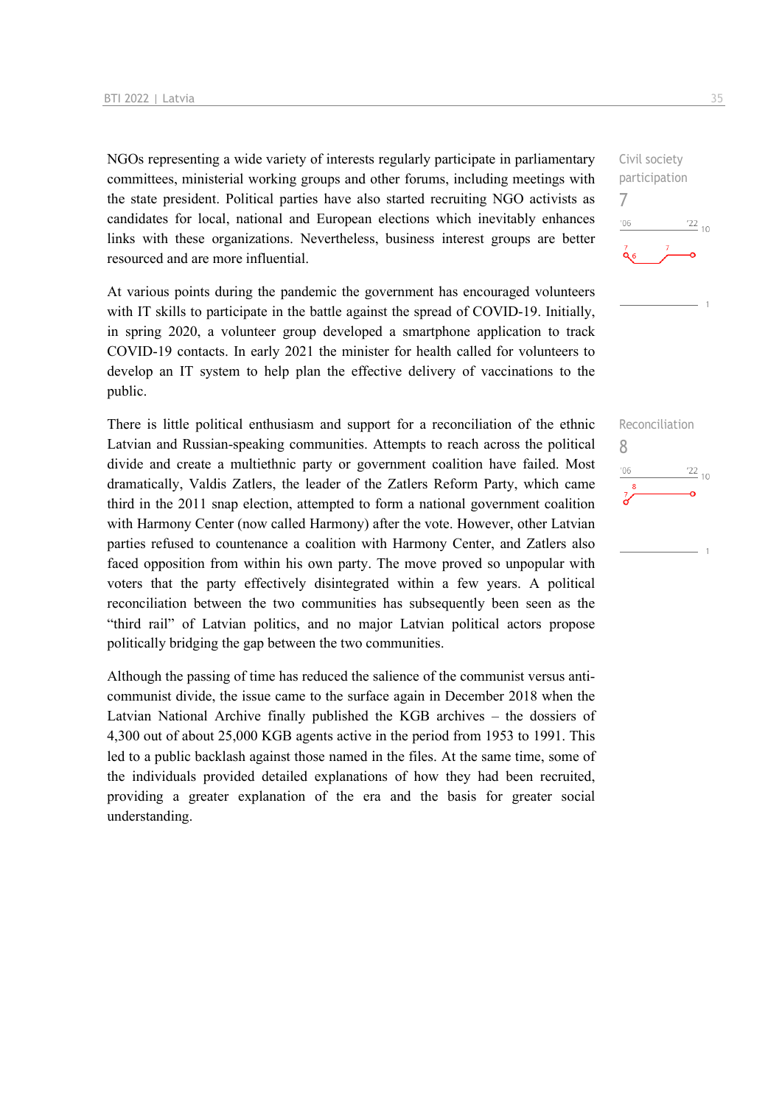NGOs representing a wide variety of interests regularly participate in parliamentary committees, ministerial working groups and other forums, including meetings with the state president. Political parties have also started recruiting NGO activists as candidates for local, national and European elections which inevitably enhances links with these organizations. Nevertheless, business interest groups are better resourced and are more influential.

At various points during the pandemic the government has encouraged volunteers with IT skills to participate in the battle against the spread of COVID-19. Initially, in spring 2020, a volunteer group developed a smartphone application to track COVID-19 contacts. In early 2021 the minister for health called for volunteers to develop an IT system to help plan the effective delivery of vaccinations to the public.

There is little political enthusiasm and support for a reconciliation of the ethnic Latvian and Russian-speaking communities. Attempts to reach across the political divide and create a multiethnic party or government coalition have failed. Most dramatically, Valdis Zatlers, the leader of the Zatlers Reform Party, which came third in the 2011 snap election, attempted to form a national government coalition with Harmony Center (now called Harmony) after the vote. However, other Latvian parties refused to countenance a coalition with Harmony Center, and Zatlers also faced opposition from within his own party. The move proved so unpopular with voters that the party effectively disintegrated within a few years. A political reconciliation between the two communities has subsequently been seen as the "third rail" of Latvian politics, and no major Latvian political actors propose politically bridging the gap between the two communities.

Although the passing of time has reduced the salience of the communist versus anticommunist divide, the issue came to the surface again in December 2018 when the Latvian National Archive finally published the KGB archives – the dossiers of 4,300 out of about 25,000 KGB agents active in the period from 1953 to 1991. This led to a public backlash against those named in the files. At the same time, some of the individuals provided detailed explanations of how they had been recruited, providing a greater explanation of the era and the basis for greater social understanding.



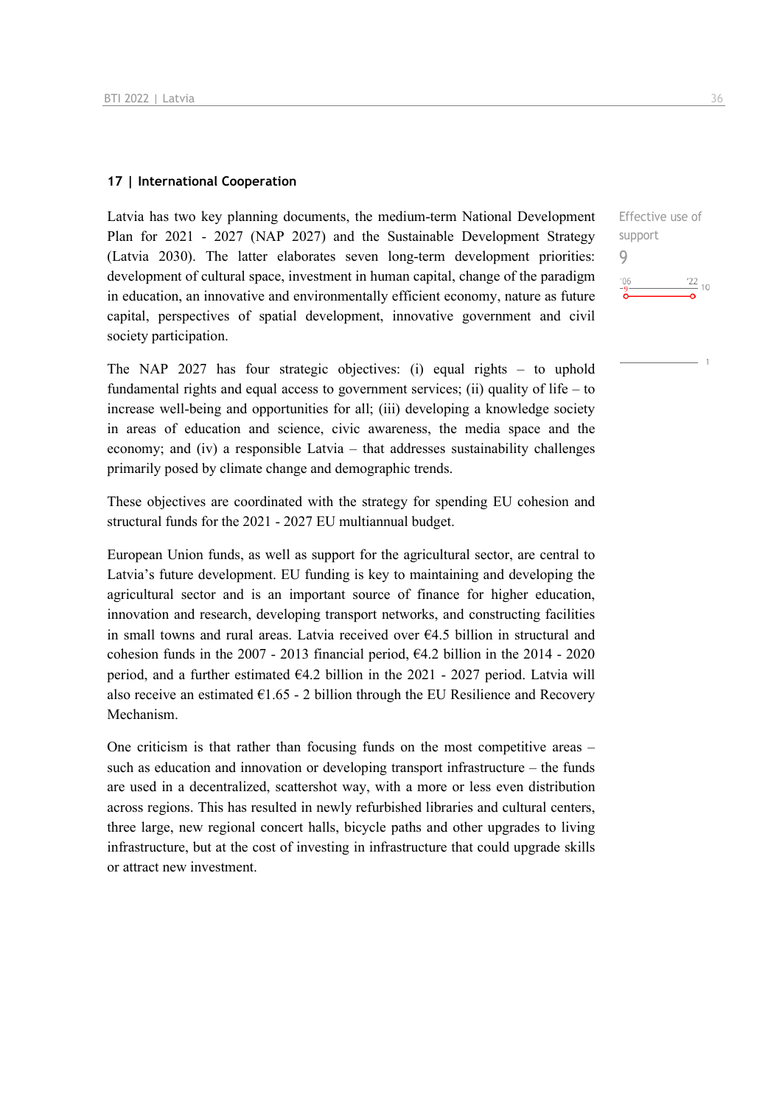#### **17 | International Cooperation**

Latvia has two key planning documents, the medium-term National Development Plan for 2021 - 2027 (NAP 2027) and the Sustainable Development Strategy (Latvia 2030). The latter elaborates seven long-term development priorities: development of cultural space, investment in human capital, change of the paradigm in education, an innovative and environmentally efficient economy, nature as future capital, perspectives of spatial development, innovative government and civil society participation.

The NAP 2027 has four strategic objectives: (i) equal rights – to uphold fundamental rights and equal access to government services; (ii) quality of life – to increase well-being and opportunities for all; (iii) developing a knowledge society in areas of education and science, civic awareness, the media space and the economy; and (iv) a responsible Latvia – that addresses sustainability challenges primarily posed by climate change and demographic trends.

These objectives are coordinated with the strategy for spending EU cohesion and structural funds for the 2021 - 2027 EU multiannual budget.

European Union funds, as well as support for the agricultural sector, are central to Latvia's future development. EU funding is key to maintaining and developing the agricultural sector and is an important source of finance for higher education, innovation and research, developing transport networks, and constructing facilities in small towns and rural areas. Latvia received over €4.5 billion in structural and cohesion funds in the  $2007 - 2013$  financial period,  $64.2$  billion in the  $2014 - 2020$ period, and a further estimated  $64.2$  billion in the 2021 - 2027 period. Latvia will also receive an estimated  $E1.65 - 2$  billion through the EU Resilience and Recovery Mechanism.

One criticism is that rather than focusing funds on the most competitive areas – such as education and innovation or developing transport infrastructure – the funds are used in a decentralized, scattershot way, with a more or less even distribution across regions. This has resulted in newly refurbished libraries and cultural centers, three large, new regional concert halls, bicycle paths and other upgrades to living infrastructure, but at the cost of investing in infrastructure that could upgrade skills or attract new investment.

Effective use of support 9 $\frac{22}{10}$  10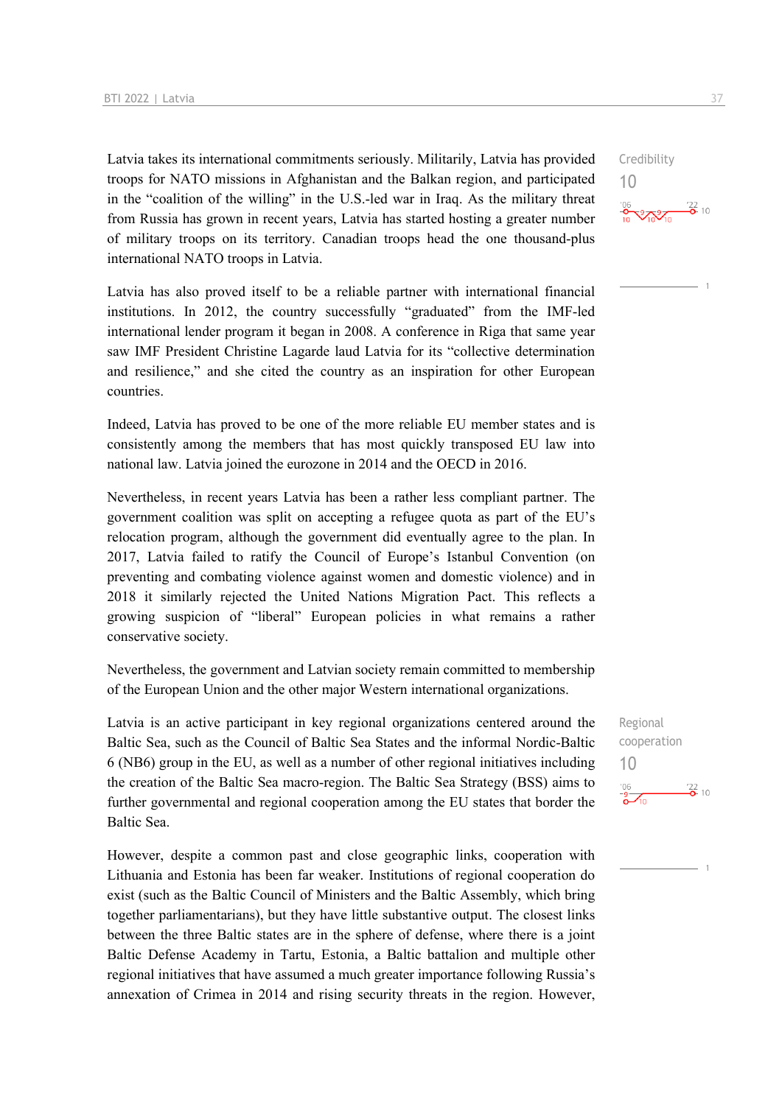Latvia takes its international commitments seriously. Militarily, Latvia has provided troops for NATO missions in Afghanistan and the Balkan region, and participated in the "coalition of the willing" in the U.S.-led war in Iraq. As the military threat from Russia has grown in recent years, Latvia has started hosting a greater number of military troops on its territory. Canadian troops head the one thousand-plus international NATO troops in Latvia.

Latvia has also proved itself to be a reliable partner with international financial institutions. In 2012, the country successfully "graduated" from the IMF-led international lender program it began in 2008. A conference in Riga that same year saw IMF President Christine Lagarde laud Latvia for its "collective determination and resilience," and she cited the country as an inspiration for other European countries.

Indeed, Latvia has proved to be one of the more reliable EU member states and is consistently among the members that has most quickly transposed EU law into national law. Latvia joined the eurozone in 2014 and the OECD in 2016.

Nevertheless, in recent years Latvia has been a rather less compliant partner. The government coalition was split on accepting a refugee quota as part of the EU's relocation program, although the government did eventually agree to the plan. In 2017, Latvia failed to ratify the Council of Europe's Istanbul Convention (on preventing and combating violence against women and domestic violence) and in 2018 it similarly rejected the United Nations Migration Pact. This reflects a growing suspicion of "liberal" European policies in what remains a rather conservative society.

Nevertheless, the government and Latvian society remain committed to membership of the European Union and the other major Western international organizations.

Latvia is an active participant in key regional organizations centered around the Baltic Sea, such as the Council of Baltic Sea States and the informal Nordic-Baltic 6 (NB6) group in the EU, as well as a number of other regional initiatives including the creation of the Baltic Sea macro-region. The Baltic Sea Strategy (BSS) aims to further governmental and regional cooperation among the EU states that border the Baltic Sea.

However, despite a common past and close geographic links, cooperation with Lithuania and Estonia has been far weaker. Institutions of regional cooperation do exist (such as the Baltic Council of Ministers and the Baltic Assembly, which bring together parliamentarians), but they have little substantive output. The closest links between the three Baltic states are in the sphere of defense, where there is a joint Baltic Defense Academy in Tartu, Estonia, a Baltic battalion and multiple other regional initiatives that have assumed a much greater importance following Russia's annexation of Crimea in 2014 and rising security threats in the region. However,

10  $\frac{22}{6}$  10

Credibility

Regional cooperation 10 $\frac{106}{9}$  $\frac{122}{2}$  10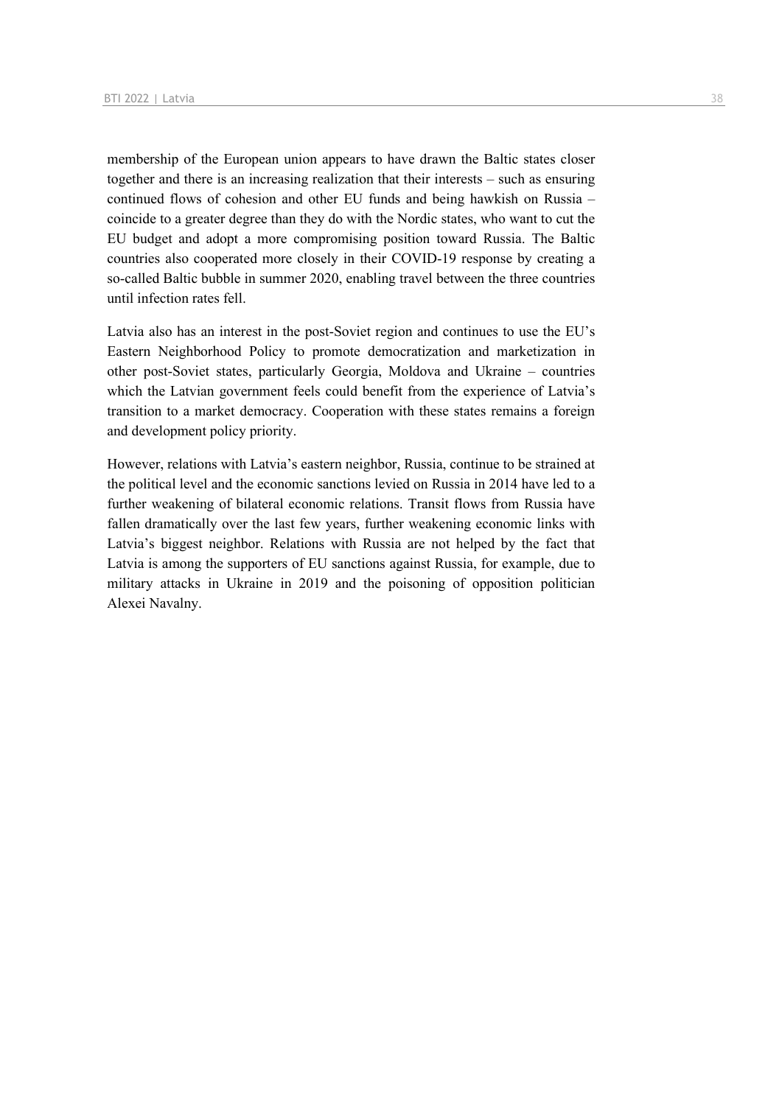membership of the European union appears to have drawn the Baltic states closer together and there is an increasing realization that their interests – such as ensuring continued flows of cohesion and other EU funds and being hawkish on Russia – coincide to a greater degree than they do with the Nordic states, who want to cut the EU budget and adopt a more compromising position toward Russia. The Baltic countries also cooperated more closely in their COVID-19 response by creating a so-called Baltic bubble in summer 2020, enabling travel between the three countries until infection rates fell.

Latvia also has an interest in the post-Soviet region and continues to use the EU's Eastern Neighborhood Policy to promote democratization and marketization in other post-Soviet states, particularly Georgia, Moldova and Ukraine – countries which the Latvian government feels could benefit from the experience of Latvia's transition to a market democracy. Cooperation with these states remains a foreign and development policy priority.

However, relations with Latvia's eastern neighbor, Russia, continue to be strained at the political level and the economic sanctions levied on Russia in 2014 have led to a further weakening of bilateral economic relations. Transit flows from Russia have fallen dramatically over the last few years, further weakening economic links with Latvia's biggest neighbor. Relations with Russia are not helped by the fact that Latvia is among the supporters of EU sanctions against Russia, for example, due to military attacks in Ukraine in 2019 and the poisoning of opposition politician Alexei Navalny.